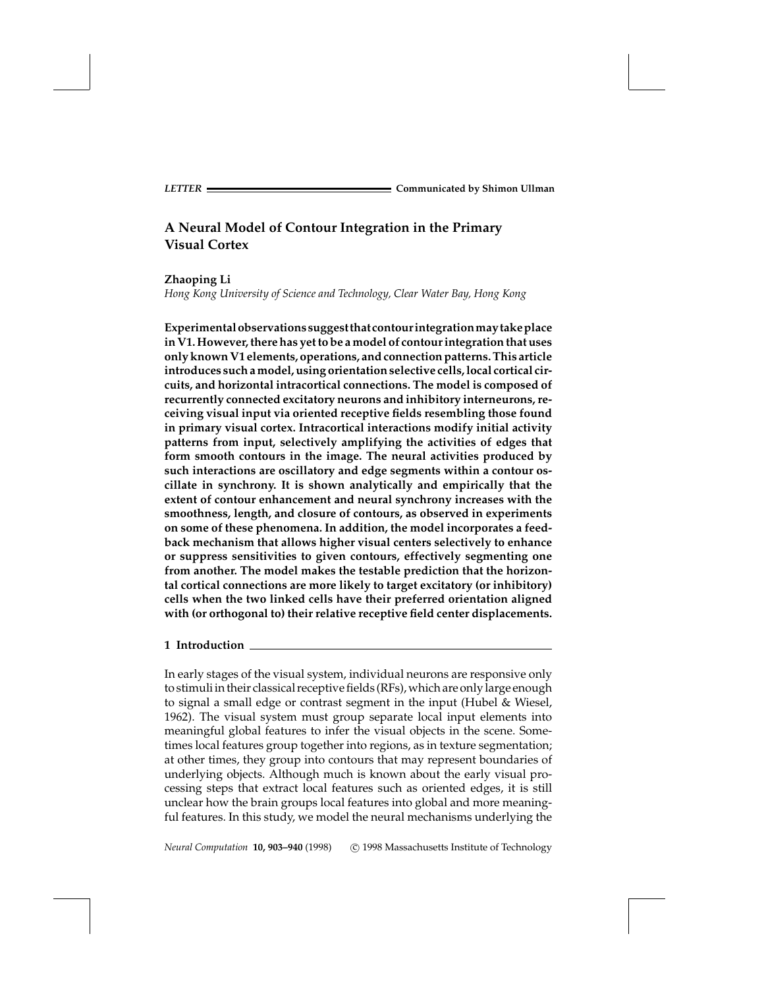# **A Neural Model of Contour Integration in the Primary Visual Cortex**

**Zhaoping Li**

*Hong Kong University of Science and Technology, Clear Water Bay, Hong Kong*

**Experimentalobservationssuggestthatcontourintegrationmaytakeplace in V1. However, there has yet to be a model of contour integration that uses only known V1 elements, operations, and connection patterns. This article introduces such a model, using orientation selective cells, local cortical circuits, and horizontal intracortical connections. The model is composed of recurrently connected excitatory neurons and inhibitory interneurons, receiving visual input via oriented receptive fields resembling those found in primary visual cortex. Intracortical interactions modify initial activity patterns from input, selectively amplifying the activities of edges that form smooth contours in the image. The neural activities produced by such interactions are oscillatory and edge segments within a contour oscillate in synchrony. It is shown analytically and empirically that the extent of contour enhancement and neural synchrony increases with the smoothness, length, and closure of contours, as observed in experiments on some of these phenomena. In addition, the model incorporates a feedback mechanism that allows higher visual centers selectively to enhance or suppress sensitivities to given contours, effectively segmenting one from another. The model makes the testable prediction that the horizontal cortical connections are more likely to target excitatory (or inhibitory) cells when the two linked cells have their preferred orientation aligned with (or orthogonal to) their relative receptive field center displacements.**

# **1 Introduction**

In early stages of the visual system, individual neurons are responsive only to stimuli in their classical receptive fields (RFs), which are only large enough to signal a small edge or contrast segment in the input (Hubel & Wiesel, 1962). The visual system must group separate local input elements into meaningful global features to infer the visual objects in the scene. Sometimes local features group together into regions, as in texture segmentation; at other times, they group into contours that may represent boundaries of underlying objects. Although much is known about the early visual processing steps that extract local features such as oriented edges, it is still unclear how the brain groups local features into global and more meaningful features. In this study, we model the neural mechanisms underlying the

*Neural Computation* **10, 903-940** (1998) © 1998 Massachusetts Institute of Technology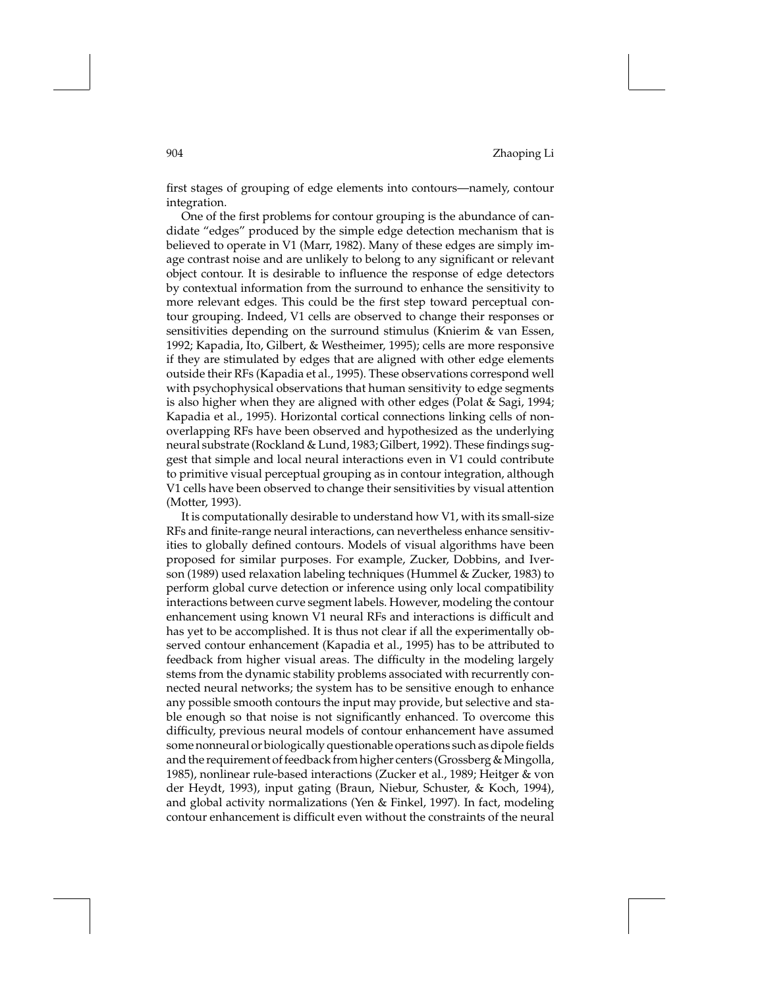# 904 Zhaoping Li

first stages of grouping of edge elements into contours—namely, contour integration.

One of the first problems for contour grouping is the abundance of candidate "edges" produced by the simple edge detection mechanism that is believed to operate in V1 (Marr, 1982). Many of these edges are simply image contrast noise and are unlikely to belong to any significant or relevant object contour. It is desirable to influence the response of edge detectors by contextual information from the surround to enhance the sensitivity to more relevant edges. This could be the first step toward perceptual contour grouping. Indeed, V1 cells are observed to change their responses or sensitivities depending on the surround stimulus (Knierim & van Essen, 1992; Kapadia, Ito, Gilbert, & Westheimer, 1995); cells are more responsive if they are stimulated by edges that are aligned with other edge elements outside their RFs (Kapadia et al., 1995). These observations correspond well with psychophysical observations that human sensitivity to edge segments is also higher when they are aligned with other edges (Polat & Sagi, 1994; Kapadia et al., 1995). Horizontal cortical connections linking cells of nonoverlapping RFs have been observed and hypothesized as the underlying neural substrate (Rockland & Lund, 1983; Gilbert, 1992). These findings suggest that simple and local neural interactions even in V1 could contribute to primitive visual perceptual grouping as in contour integration, although V1 cells have been observed to change their sensitivities by visual attention (Motter, 1993).

It is computationally desirable to understand how V1, with its small-size RFs and finite-range neural interactions, can nevertheless enhance sensitivities to globally defined contours. Models of visual algorithms have been proposed for similar purposes. For example, Zucker, Dobbins, and Iverson (1989) used relaxation labeling techniques (Hummel & Zucker, 1983) to perform global curve detection or inference using only local compatibility interactions between curve segment labels. However, modeling the contour enhancement using known V1 neural RFs and interactions is difficult and has yet to be accomplished. It is thus not clear if all the experimentally observed contour enhancement (Kapadia et al., 1995) has to be attributed to feedback from higher visual areas. The difficulty in the modeling largely stems from the dynamic stability problems associated with recurrently connected neural networks; the system has to be sensitive enough to enhance any possible smooth contours the input may provide, but selective and stable enough so that noise is not significantly enhanced. To overcome this difficulty, previous neural models of contour enhancement have assumed some nonneural or biologically questionable operations such as dipole fields and the requirement of feedback from higher centers (Grossberg & Mingolla, 1985), nonlinear rule-based interactions (Zucker et al., 1989; Heitger & von der Heydt, 1993), input gating (Braun, Niebur, Schuster, & Koch, 1994), and global activity normalizations (Yen & Finkel, 1997). In fact, modeling contour enhancement is difficult even without the constraints of the neural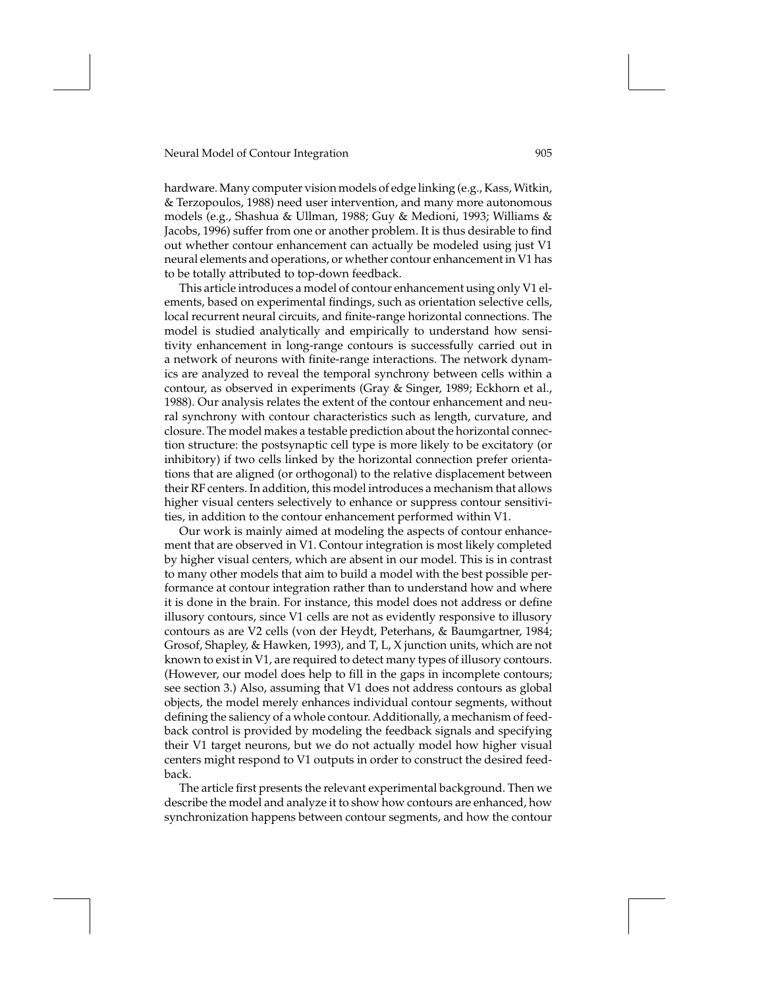hardware. Many computer vision models of edge linking (e.g., Kass, Witkin, & Terzopoulos, 1988) need user intervention, and many more autonomous models (e.g., Shashua & Ullman, 1988; Guy & Medioni, 1993; Williams & Jacobs, 1996) suffer from one or another problem. It is thus desirable to find out whether contour enhancement can actually be modeled using just V1 neural elements and operations, or whether contour enhancement in V1 has to be totally attributed to top-down feedback.

This article introduces a model of contour enhancement using only V1 elements, based on experimental findings, such as orientation selective cells, local recurrent neural circuits, and finite-range horizontal connections. The model is studied analytically and empirically to understand how sensitivity enhancement in long-range contours is successfully carried out in a network of neurons with finite-range interactions. The network dynamics are analyzed to reveal the temporal synchrony between cells within a contour, as observed in experiments (Gray & Singer, 1989; Eckhorn et al., 1988). Our analysis relates the extent of the contour enhancement and neural synchrony with contour characteristics such as length, curvature, and closure. The model makes a testable prediction about the horizontal connection structure: the postsynaptic cell type is more likely to be excitatory (or inhibitory) if two cells linked by the horizontal connection prefer orientations that are aligned (or orthogonal) to the relative displacement between their RF centers. In addition, this model introduces a mechanism that allows higher visual centers selectively to enhance or suppress contour sensitivities, in addition to the contour enhancement performed within V1.

Our work is mainly aimed at modeling the aspects of contour enhancement that are observed in V1. Contour integration is most likely completed by higher visual centers, which are absent in our model. This is in contrast to many other models that aim to build a model with the best possible performance at contour integration rather than to understand how and where it is done in the brain. For instance, this model does not address or define illusory contours, since V1 cells are not as evidently responsive to illusory contours as are V2 cells (von der Heydt, Peterhans, & Baumgartner, 1984; Grosof, Shapley, & Hawken, 1993), and T, L, X junction units, which are not known to exist in V1, are required to detect many types of illusory contours. (However, our model does help to fill in the gaps in incomplete contours; see section 3.) Also, assuming that V1 does not address contours as global objects, the model merely enhances individual contour segments, without defining the saliency of a whole contour. Additionally, a mechanism of feedback control is provided by modeling the feedback signals and specifying their V1 target neurons, but we do not actually model how higher visual centers might respond to V1 outputs in order to construct the desired feedback.

The article first presents the relevant experimental background. Then we describe the model and analyze it to show how contours are enhanced, how synchronization happens between contour segments, and how the contour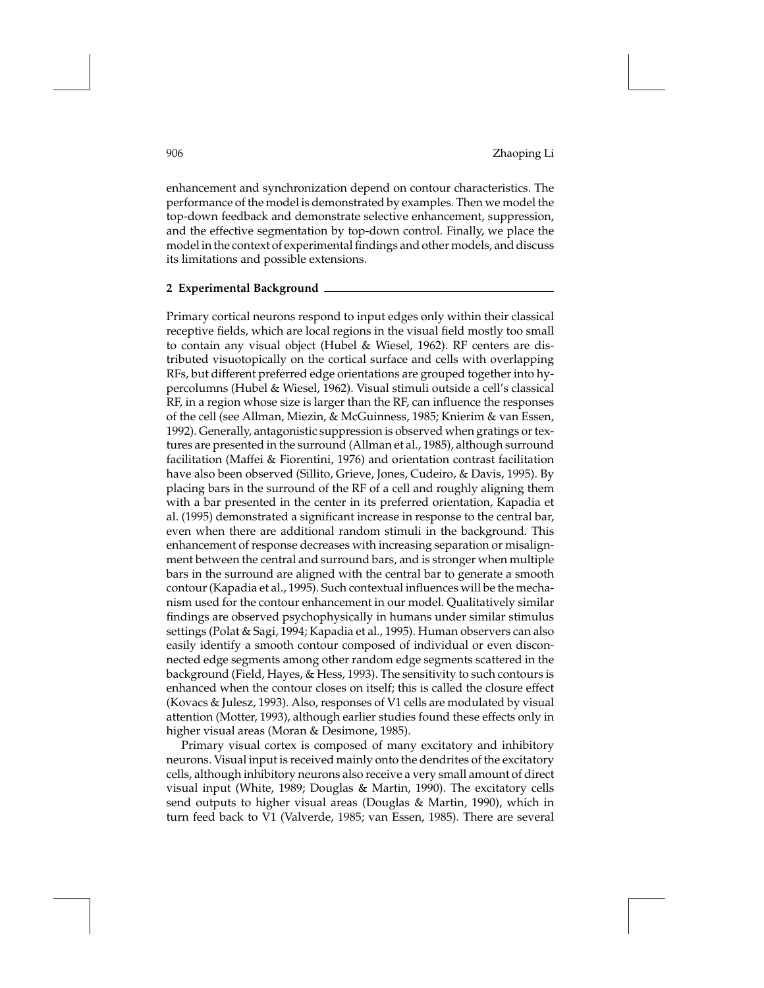enhancement and synchronization depend on contour characteristics. The performance of the model is demonstrated by examples. Then we model the top-down feedback and demonstrate selective enhancement, suppression, and the effective segmentation by top-down control. Finally, we place the model in the context of experimental findings and other models, and discuss its limitations and possible extensions.

# **2 Experimental Background**

Primary cortical neurons respond to input edges only within their classical receptive fields, which are local regions in the visual field mostly too small to contain any visual object (Hubel & Wiesel, 1962). RF centers are distributed visuotopically on the cortical surface and cells with overlapping RFs, but different preferred edge orientations are grouped together into hypercolumns (Hubel & Wiesel, 1962). Visual stimuli outside a cell's classical RF, in a region whose size is larger than the RF, can influence the responses of the cell (see Allman, Miezin, & McGuinness, 1985; Knierim & van Essen, 1992). Generally, antagonistic suppression is observed when gratings or textures are presented in the surround (Allman et al., 1985), although surround facilitation (Maffei & Fiorentini, 1976) and orientation contrast facilitation have also been observed (Sillito, Grieve, Jones, Cudeiro, & Davis, 1995). By placing bars in the surround of the RF of a cell and roughly aligning them with a bar presented in the center in its preferred orientation, Kapadia et al. (1995) demonstrated a significant increase in response to the central bar, even when there are additional random stimuli in the background. This enhancement of response decreases with increasing separation or misalignment between the central and surround bars, and is stronger when multiple bars in the surround are aligned with the central bar to generate a smooth contour (Kapadia et al., 1995). Such contextual influences will be the mechanism used for the contour enhancement in our model. Qualitatively similar findings are observed psychophysically in humans under similar stimulus settings (Polat & Sagi, 1994; Kapadia et al., 1995). Human observers can also easily identify a smooth contour composed of individual or even disconnected edge segments among other random edge segments scattered in the background (Field, Hayes, & Hess, 1993). The sensitivity to such contours is enhanced when the contour closes on itself; this is called the closure effect (Kovacs & Julesz, 1993). Also, responses of V1 cells are modulated by visual attention (Motter, 1993), although earlier studies found these effects only in higher visual areas (Moran & Desimone, 1985).

Primary visual cortex is composed of many excitatory and inhibitory neurons. Visual input is received mainly onto the dendrites of the excitatory cells, although inhibitory neurons also receive a very small amount of direct visual input (White, 1989; Douglas & Martin, 1990). The excitatory cells send outputs to higher visual areas (Douglas & Martin, 1990), which in turn feed back to V1 (Valverde, 1985; van Essen, 1985). There are several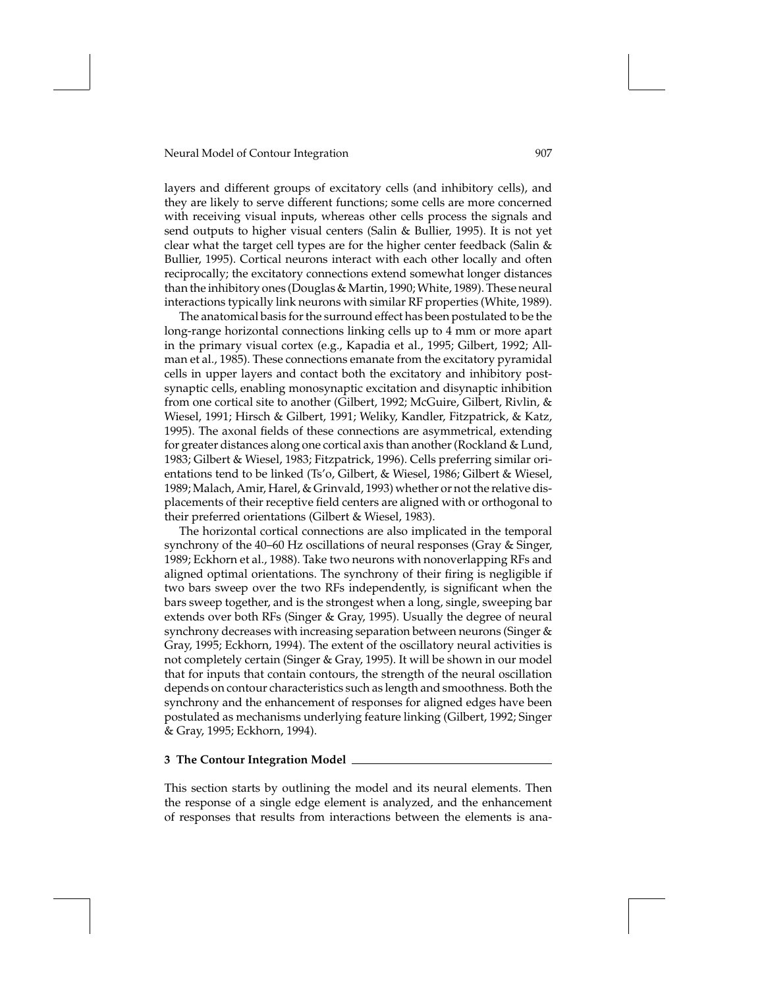layers and different groups of excitatory cells (and inhibitory cells), and they are likely to serve different functions; some cells are more concerned with receiving visual inputs, whereas other cells process the signals and send outputs to higher visual centers (Salin & Bullier, 1995). It is not yet clear what the target cell types are for the higher center feedback (Salin & Bullier, 1995). Cortical neurons interact with each other locally and often reciprocally; the excitatory connections extend somewhat longer distances than the inhibitory ones (Douglas & Martin, 1990; White, 1989). These neural interactions typically link neurons with similar RF properties (White, 1989).

The anatomical basis for the surround effect has been postulated to be the long-range horizontal connections linking cells up to 4 mm or more apart in the primary visual cortex (e.g., Kapadia et al., 1995; Gilbert, 1992; Allman et al., 1985). These connections emanate from the excitatory pyramidal cells in upper layers and contact both the excitatory and inhibitory postsynaptic cells, enabling monosynaptic excitation and disynaptic inhibition from one cortical site to another (Gilbert, 1992; McGuire, Gilbert, Rivlin, & Wiesel, 1991; Hirsch & Gilbert, 1991; Weliky, Kandler, Fitzpatrick, & Katz, 1995). The axonal fields of these connections are asymmetrical, extending for greater distances along one cortical axis than another (Rockland & Lund, 1983; Gilbert & Wiesel, 1983; Fitzpatrick, 1996). Cells preferring similar orientations tend to be linked (Ts'o, Gilbert, & Wiesel, 1986; Gilbert & Wiesel, 1989; Malach, Amir, Harel, & Grinvald, 1993) whether or not the relative displacements of their receptive field centers are aligned with or orthogonal to their preferred orientations (Gilbert & Wiesel, 1983).

The horizontal cortical connections are also implicated in the temporal synchrony of the 40–60 Hz oscillations of neural responses (Gray & Singer, 1989; Eckhorn et al., 1988). Take two neurons with nonoverlapping RFs and aligned optimal orientations. The synchrony of their firing is negligible if two bars sweep over the two RFs independently, is significant when the bars sweep together, and is the strongest when a long, single, sweeping bar extends over both RFs (Singer & Gray, 1995). Usually the degree of neural synchrony decreases with increasing separation between neurons (Singer & Gray, 1995; Eckhorn, 1994). The extent of the oscillatory neural activities is not completely certain (Singer & Gray, 1995). It will be shown in our model that for inputs that contain contours, the strength of the neural oscillation depends on contour characteristics such as length and smoothness. Both the synchrony and the enhancement of responses for aligned edges have been postulated as mechanisms underlying feature linking (Gilbert, 1992; Singer & Gray, 1995; Eckhorn, 1994).

### **3 The Contour Integration Model**

This section starts by outlining the model and its neural elements. Then the response of a single edge element is analyzed, and the enhancement of responses that results from interactions between the elements is ana-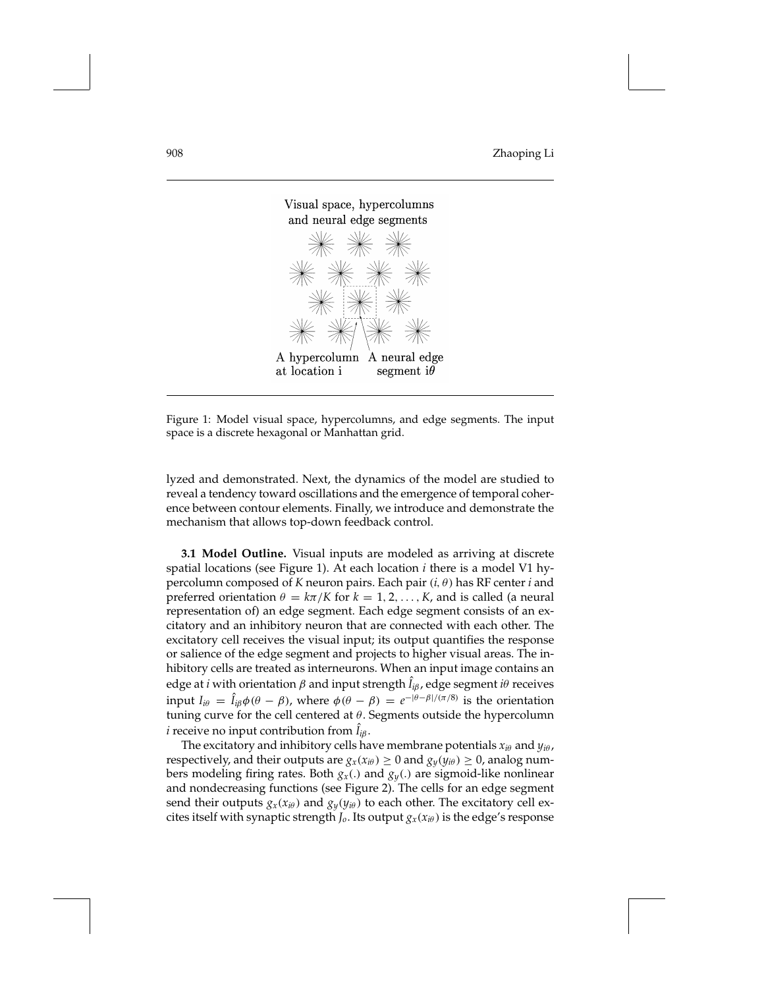

Figure 1: Model visual space, hypercolumns, and edge segments. The input space is a discrete hexagonal or Manhattan grid.

lyzed and demonstrated. Next, the dynamics of the model are studied to reveal a tendency toward oscillations and the emergence of temporal coherence between contour elements. Finally, we introduce and demonstrate the mechanism that allows top-down feedback control.

**3.1 Model Outline.** Visual inputs are modeled as arriving at discrete spatial locations (see Figure 1). At each location *i* there is a model V1 hypercolumn composed of *K* neuron pairs. Each pair (*i*,θ) has RF center *i* and preferred orientation  $\theta = k\pi/K$  for  $k = 1, 2, ..., K$ , and is called (a neural representation of) an edge segment. Each edge segment consists of an excitatory and an inhibitory neuron that are connected with each other. The excitatory cell receives the visual input; its output quantifies the response or salience of the edge segment and projects to higher visual areas. The inhibitory cells are treated as interneurons. When an input image contains an edge at *i* with orientation  $\beta$  and input strength  $\hat{I}_{i\beta}$ , edge segment  $i\theta$  receives input  $I_{i\theta} = \hat{I}_{i\beta}\phi(\theta - \beta)$ , where  $\phi(\theta - \beta) = e^{-|\theta - \beta|/(\pi/8)}$  is the orientation tuning curve for the cell centered at  $\theta$ . Segments outside the hypercolumn *i* receive no input contribution from  $I_{i\beta}$ .

The excitatory and inhibitory cells have membrane potentials  $x_{i\theta}$  and  $y_{i\theta}$ , respectively, and their outputs are  $g_x(x_{i\theta}) \geq 0$  and  $g_y(y_{i\theta}) \geq 0$ , analog numbers modeling firing rates. Both  $g_x(.)$  and  $g_y(.)$  are sigmoid-like nonlinear and nondecreasing functions (see Figure 2). The cells for an edge segment send their outputs  $g_x(x_{i\theta})$  and  $g_y(y_{i\theta})$  to each other. The excitatory cell excites itself with synaptic strength  $J_0$ . Its output  $g_x(x_{i\theta})$  is the edge's response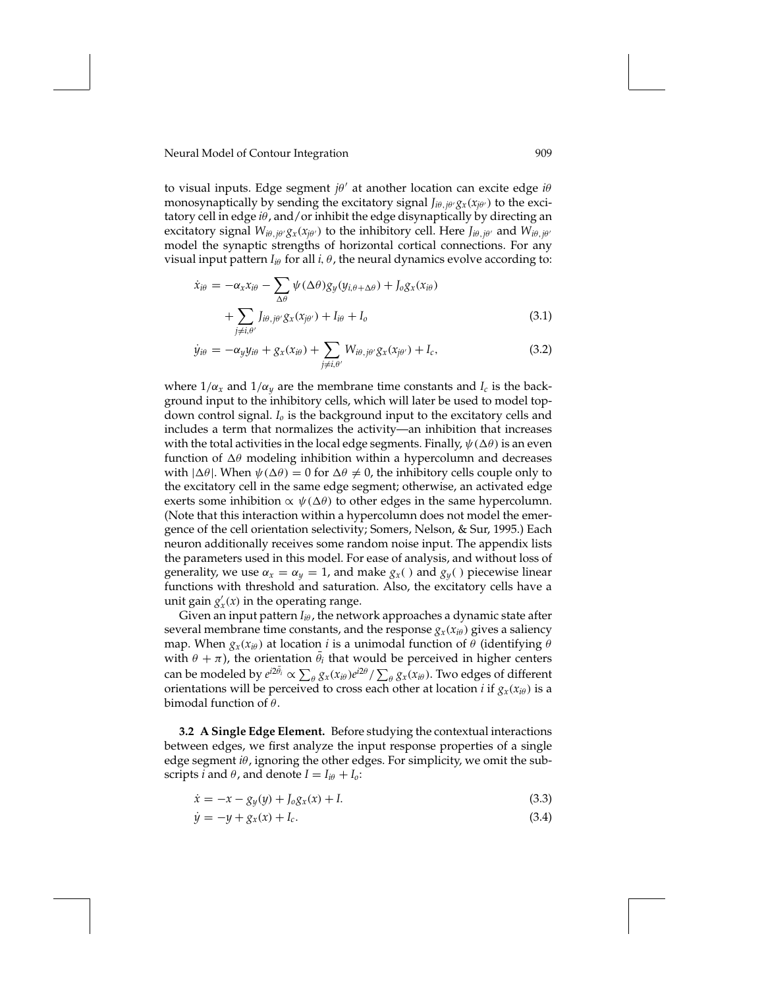to visual inputs. Edge segment  $j\theta$ <sup>'</sup> at another location can excite edge  $i\theta$ monosynaptically by sending the excitatory signal  $J_{i\theta, j\theta\theta} g_x(x_{i\theta\theta})$  to the excitatory cell in edge *i*θ, and/or inhibit the edge disynaptically by directing an excitatory signal  $W_{i\theta, j\theta'} g_x(x_{j\theta'})$  to the inhibitory cell. Here  $J_{i\theta, j\theta'}$  and  $W_{i\theta, j\theta'}$ model the synaptic strengths of horizontal cortical connections. For any visual input pattern  $I_{i\theta}$  for all *i*,  $\theta$ , the neural dynamics evolve according to:

$$
\dot{x}_{i\theta} = -\alpha_{x}x_{i\theta} - \sum_{\Delta\theta} \psi(\Delta\theta)g_{y}(y_{i,\theta+\Delta\theta}) + J_{o}g_{x}(x_{i\theta}) + \sum_{j\neq i,\theta'} J_{i\theta,j\theta'}g_{x}(x_{j\theta'}) + I_{i\theta} + I_{o}
$$
\n(3.1)

$$
\dot{y}_{i\theta} = -\alpha_y y_{i\theta} + g_x(x_{i\theta}) + \sum_{j \neq i, \theta'} W_{i\theta, j\theta'} g_x(x_{j\theta'}) + I_c,
$$
\n(3.2)

where  $1/\alpha_x$  and  $1/\alpha_y$  are the membrane time constants and  $I_c$  is the background input to the inhibitory cells, which will later be used to model topdown control signal. *Io* is the background input to the excitatory cells and includes a term that normalizes the activity—an inhibition that increases with the total activities in the local edge segments. Finally,  $\psi(\Delta\theta)$  is an even function of  $\Delta\theta$  modeling inhibition within a hypercolumn and decreases with  $|\Delta\theta|$ . When  $\psi(\Delta\theta) = 0$  for  $\Delta\theta \neq 0$ , the inhibitory cells couple only to the excitatory cell in the same edge segment; otherwise, an activated edge exerts some inhibition  $\propto \psi(\Delta\theta)$  to other edges in the same hypercolumn. (Note that this interaction within a hypercolumn does not model the emergence of the cell orientation selectivity; Somers, Nelson, & Sur, 1995.) Each neuron additionally receives some random noise input. The appendix lists the parameters used in this model. For ease of analysis, and without loss of generality, we use  $\alpha_x = \alpha_y = 1$ , and make  $g_x()$  and  $g_y()$  piecewise linear functions with threshold and saturation. Also, the excitatory cells have a unit gain  $g'_x(x)$  in the operating range.

Given an input pattern  $I_{i\theta}$ , the network approaches a dynamic state after several membrane time constants, and the response  $g_x(x_{i\theta})$  gives a saliency map. When  $g_x(x_{i\theta})$  at location *i* is a unimodal function of  $\theta$  (identifying  $\theta$ with  $\theta + \pi$ ), the orientation  $\bar{\theta}_i$  that would be perceived in higher centers can be modeled by  $e^{i2\tilde{\theta}_i}\propto \sum_{\theta}g_x(x_{i\theta})e^{i2\theta}/\sum_{\theta}g_x(x_{i\theta}).$  Two edges of different orientations will be perceived to cross each other at location *i* if  $g_x(x_{i\theta})$  is a bimodal function of  $\theta$ .

**3.2 A Single Edge Element.** Before studying the contextual interactions between edges, we first analyze the input response properties of a single edge segment *i*θ, ignoring the other edges. For simplicity, we omit the subscripts *i* and  $\theta$ , and denote  $I = I_{i\theta} + I_o$ :

$$
\dot{x} = -x - g_y(y) + J_o g_x(x) + I.
$$
\n(3.3)

$$
\dot{y} = -y + g_x(x) + I_c.
$$
 (3.4)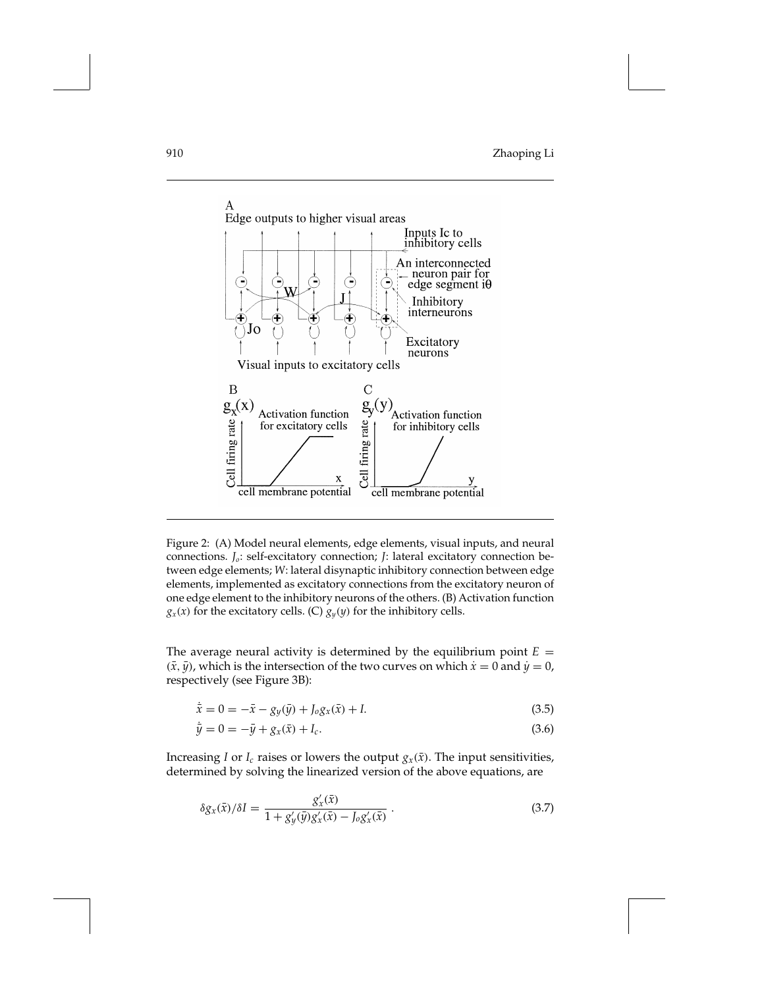

Figure 2: (A) Model neural elements, edge elements, visual inputs, and neural connections. *J<sub>o</sub>*: self-excitatory connection; *J*: lateral excitatory connection between edge elements; *W*: lateral disynaptic inhibitory connection between edge elements, implemented as excitatory connections from the excitatory neuron of one edge element to the inhibitory neurons of the others. (B) Activation function  $g_x(x)$  for the excitatory cells. (C)  $g_y(y)$  for the inhibitory cells.

The average neural activity is determined by the equilibrium point  $E =$  $(\bar{x}, \bar{y})$ , which is the intersection of the two curves on which  $\dot{x} = 0$  and  $\dot{y} = 0$ , respectively (see Figure 3B):

$$
\dot{\bar{x}} = 0 = -\bar{x} - g_y(\bar{y}) + J_o g_x(\bar{x}) + I.
$$
\n(3.5)

$$
\dot{\bar{y}} = 0 = -\bar{y} + g_x(\bar{x}) + I_c.
$$
\n(3.6)

Increasing *I* or  $I_c$  raises or lowers the output  $g_x(\bar{x})$ . The input sensitivities, determined by solving the linearized version of the above equations, are

$$
\delta g_x(\bar{x})/\delta I = \frac{g'_x(\bar{x})}{1 + g'_y(\bar{y})g'_x(\bar{x}) - J_o g'_x(\bar{x})}.
$$
\n(3.7)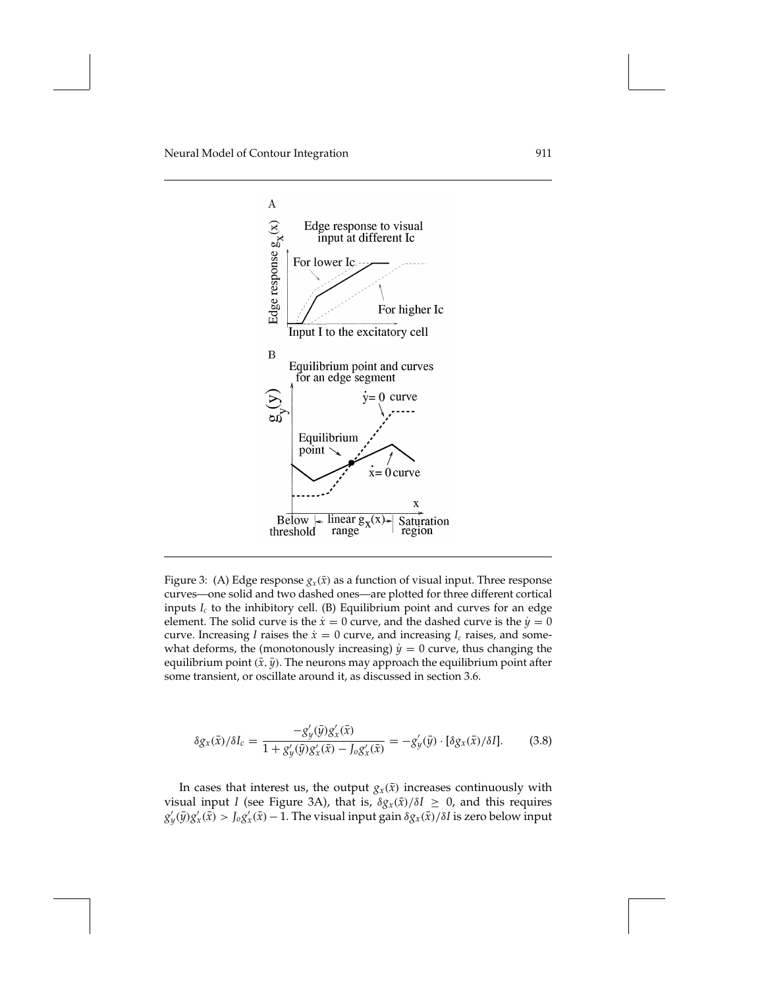

Figure 3: (A) Edge response  $g_x(\bar{x})$  as a function of visual input. Three response curves—one solid and two dashed ones—are plotted for three different cortical inputs  $I_c$  to the inhibitory cell. (B) Equilibrium point and curves for an edge element. The solid curve is the  $\dot{x} = 0$  curve, and the dashed curve is the  $\dot{y} = 0$ curve. Increasing *I* raises the  $\dot{x} = 0$  curve, and increasing  $I_c$  raises, and somewhat deforms, the (monotonously increasing)  $\dot{y} = 0$  curve, thus changing the equilibrium point  $(\bar{x}, \bar{y})$ . The neurons may approach the equilibrium point after some transient, or oscillate around it, as discussed in section 3.6.

$$
\delta g_x(\bar{x})/\delta I_c = \frac{-g_y'(\bar{y})g_x'(\bar{x})}{1 + g_y'(\bar{y})g_x'(\bar{x}) - J_o g_x'(\bar{x})} = -g_y'(\bar{y}) \cdot [\delta g_x(\bar{x})/\delta I].
$$
 (3.8)

In cases that interest us, the output  $g_x(\bar{x})$  increases continuously with visual input *I* (see Figure 3A), that is,  $\delta g_x(\bar{x})/\delta I \geq 0$ , and this requires  $g'_y(\bar{y})g'_x(\bar{x}) > J_0 g'_x(\bar{x}) - 1$ . The visual input gain  $\delta g_x(\bar{x})/\delta I$  is zero below input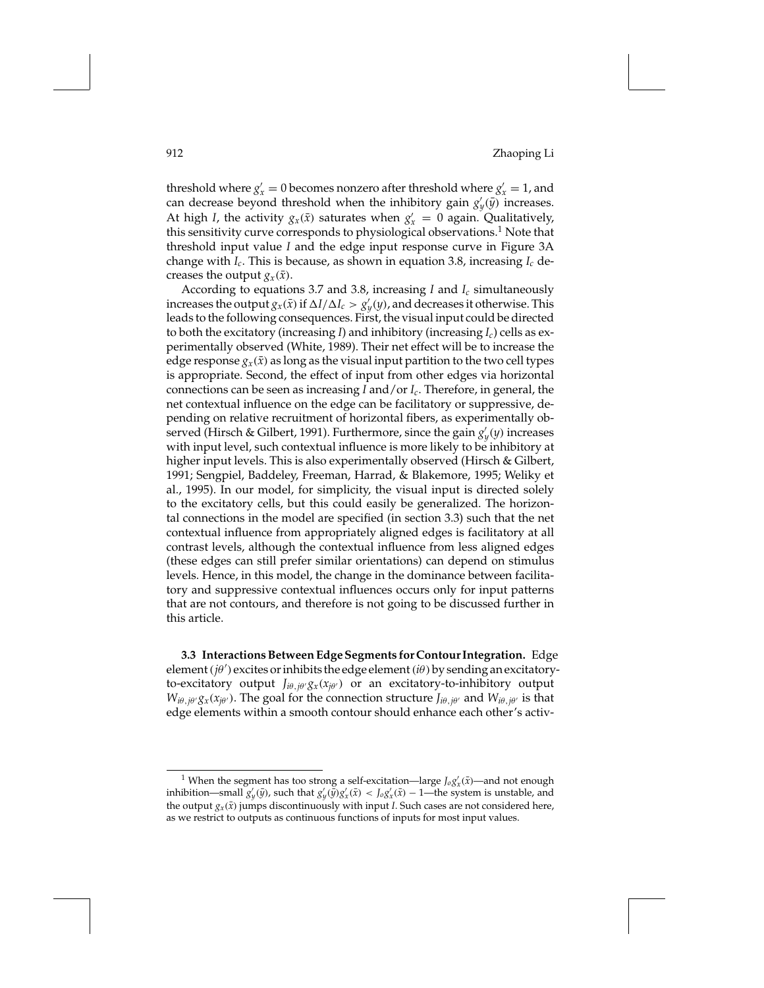threshold where  $g'_x = 0$  becomes nonzero after threshold where  $g'_x = 1$ , and can decrease beyond threshold when the inhibitory gain  $g'_y(\bar{y})$  increases. At high *I*, the activity  $g_x(\bar{x})$  saturates when  $g'_x = 0$  again. Qualitatively, this sensitivity curve corresponds to physiological observations.<sup>1</sup> Note that threshold input value *I* and the edge input response curve in Figure 3A change with *Ic*. This is because, as shown in equation 3.8, increasing *Ic* decreases the output  $g_x(\bar{x})$ .

According to equations 3.7 and 3.8, increasing *I* and *Ic* simultaneously increases the output  $g_x(\bar{x})$  if  $\Delta I/\Delta I_c > g'_y(y)$ , and decreases it otherwise. This leads to the following consequences. First, the visual input could be directed to both the excitatory (increasing *I*) and inhibitory (increasing *Ic*) cells as experimentally observed (White, 1989). Their net effect will be to increase the edge response  $g_x(\bar{x})$  as long as the visual input partition to the two cell types is appropriate. Second, the effect of input from other edges via horizontal connections can be seen as increasing *I* and/or *Ic*. Therefore, in general, the net contextual influence on the edge can be facilitatory or suppressive, depending on relative recruitment of horizontal fibers, as experimentally observed (Hirsch & Gilbert, 1991). Furthermore, since the gain  $g'_y(y)$  increases with input level, such contextual influence is more likely to be inhibitory at higher input levels. This is also experimentally observed (Hirsch & Gilbert, 1991; Sengpiel, Baddeley, Freeman, Harrad, & Blakemore, 1995; Weliky et al., 1995). In our model, for simplicity, the visual input is directed solely to the excitatory cells, but this could easily be generalized. The horizontal connections in the model are specified (in section 3.3) such that the net contextual influence from appropriately aligned edges is facilitatory at all contrast levels, although the contextual influence from less aligned edges (these edges can still prefer similar orientations) can depend on stimulus levels. Hence, in this model, the change in the dominance between facilitatory and suppressive contextual influences occurs only for input patterns that are not contours, and therefore is not going to be discussed further in this article.

**3.3 Interactions Between Edge Segments for Contour Integration.** Edge element (*jθ'*) excites or inhibits the edge element (*iθ*) by sending an excitatoryto-excitatory output  $J_{i\theta, j\theta\theta} g_x(x_{j\theta\theta})$  or an excitatory-to-inhibitory output  $W_{i\theta, j\theta'} g_x(x_{j\theta'})$ . The goal for the connection structure  $J_{i\theta, j\theta'}$  and  $W_{i\theta, j\theta'}$  is that edge elements within a smooth contour should enhance each other's activ-

<sup>&</sup>lt;sup>1</sup> When the segment has too strong a self-excitation—large  $J_o g'_x(\bar{x})$ —and not enough inhibition—small  $g'_y(\bar{y})$ , such that  $g'_y(\bar{y})g'_x(\bar{x}) < J_0g'_x(\bar{x}) - 1$ —the system is unstable, and the output  $g_x(\bar{x})$  jumps discontinuously with input *I*. Such cases are not considered here, as we restrict to outputs as continuous functions of inputs for most input values.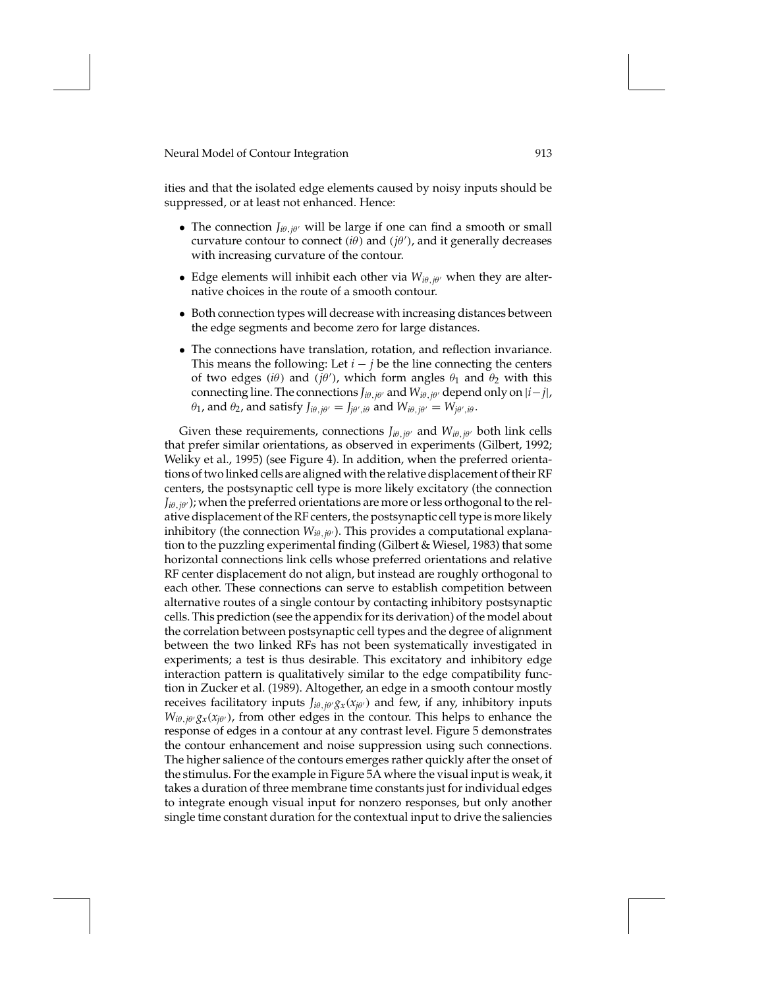ities and that the isolated edge elements caused by noisy inputs should be suppressed, or at least not enhanced. Hence:

- The connection  $J_{i\theta, j\theta}$ <sup>*i*</sup> will be large if one can find a smooth or small curvature contour to connect  $(i\theta)$  and  $(j\theta')$ , and it generally decreases with increasing curvature of the contour.
- Edge elements will inhibit each other via  $W_{i\theta, j\theta}$  when they are alternative choices in the route of a smooth contour.
- Both connection types will decrease with increasing distances between the edge segments and become zero for large distances.
- The connections have translation, rotation, and reflection invariance. This means the following: Let  $i - j$  be the line connecting the centers of two edges (*i* $\theta$ ) and ( $j\theta$ <sup>'</sup>), which form angles  $\theta_1$  and  $\theta_2$  with this connecting line. The connections *J*<sub>i $\theta$ , *j* $\theta$ <sup>*'*</sup> and  $W_{i\theta, j\theta}$ <sup>*'*</sup> depend only on  $|i-j|$ ,</sub>  $\theta_1$ , and  $\theta_2$ , and satisfy  $J_{i\theta, j\theta'} = J_{j\theta', i\theta}$  and  $W_{i\theta, j\theta'} = W_{j\theta', i\theta}$ .

Given these requirements, connections  $J_{i\theta, j\theta'}$  and  $W_{i\theta, j\theta'}$  both link cells that prefer similar orientations, as observed in experiments (Gilbert, 1992; Weliky et al., 1995) (see Figure 4). In addition, when the preferred orientations of two linked cells are aligned with the relative displacement of their RF centers, the postsynaptic cell type is more likely excitatory (the connection  $J_{i\theta, i\theta}$ ); when the preferred orientations are more or less orthogonal to the relative displacement of the RF centers, the postsynaptic cell type is more likely inhibitory (the connection  $W_{i\theta, j\theta}$ ). This provides a computational explanation to the puzzling experimental finding (Gilbert & Wiesel, 1983) that some horizontal connections link cells whose preferred orientations and relative RF center displacement do not align, but instead are roughly orthogonal to each other. These connections can serve to establish competition between alternative routes of a single contour by contacting inhibitory postsynaptic cells. This prediction (see the appendix for its derivation) of the model about the correlation between postsynaptic cell types and the degree of alignment between the two linked RFs has not been systematically investigated in experiments; a test is thus desirable. This excitatory and inhibitory edge interaction pattern is qualitatively similar to the edge compatibility function in Zucker et al. (1989). Altogether, an edge in a smooth contour mostly receives facilitatory inputs  $J_{i\theta, j\theta\theta} g_x(x_{j\theta\theta})$  and few, if any, inhibitory inputs  $W_{i\theta, j\theta\theta} g_x(x_{j\theta\theta})$ , from other edges in the contour. This helps to enhance the response of edges in a contour at any contrast level. Figure 5 demonstrates the contour enhancement and noise suppression using such connections. The higher salience of the contours emerges rather quickly after the onset of the stimulus. For the example in Figure 5A where the visual input is weak, it takes a duration of three membrane time constants just for individual edges to integrate enough visual input for nonzero responses, but only another single time constant duration for the contextual input to drive the saliencies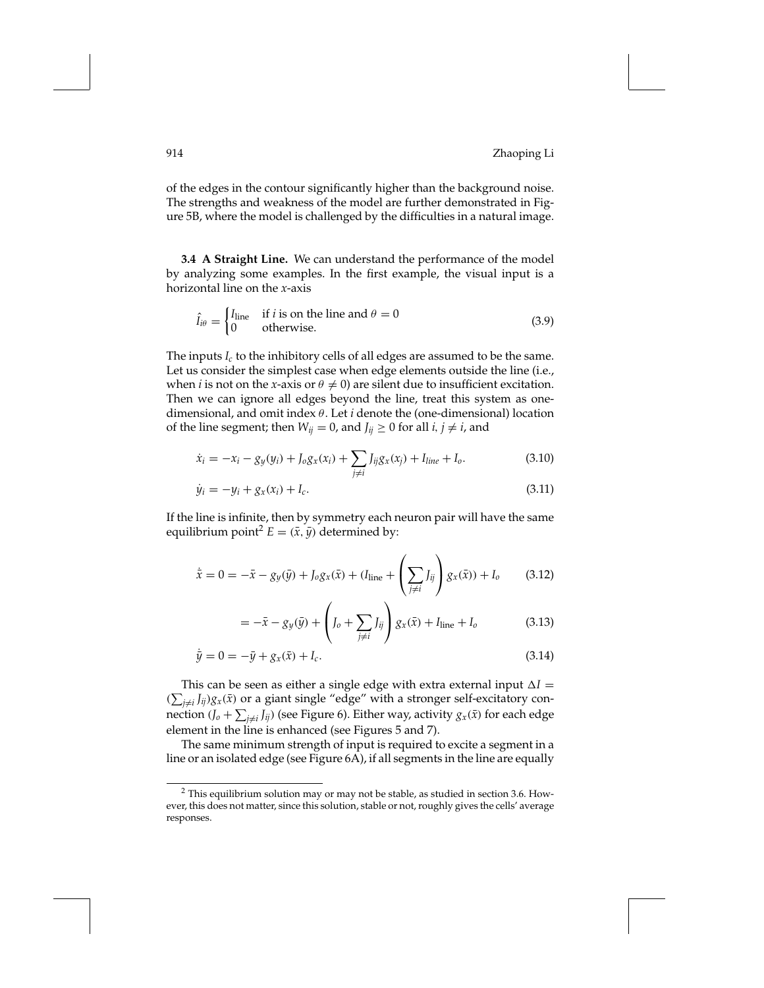of the edges in the contour significantly higher than the background noise. The strengths and weakness of the model are further demonstrated in Figure 5B, where the model is challenged by the difficulties in a natural image.

**3.4 A Straight Line.** We can understand the performance of the model by analyzing some examples. In the first example, the visual input is a horizontal line on the *x*-axis

$$
\hat{I}_{i\theta} = \begin{cases} I_{\text{line}} & \text{if } i \text{ is on the line and } \theta = 0\\ 0 & \text{otherwise.} \end{cases}
$$
 (3.9)

The inputs  $I_c$  to the inhibitory cells of all edges are assumed to be the same. Let us consider the simplest case when edge elements outside the line (i.e., when *i* is not on the *x*-axis or  $\theta \neq 0$ ) are silent due to insufficient excitation. Then we can ignore all edges beyond the line, treat this system as onedimensional, and omit index θ. Let *i* denote the (one-dimensional) location of the line segment; then  $W_{ij} = 0$ , and  $J_{ij} \ge 0$  for all  $i, j \ne i$ , and

$$
\dot{x}_i = -x_i - g_y(y_i) + J_o g_x(x_i) + \sum_{j \neq i} J_{ij} g_x(x_j) + I_{line} + I_o.
$$
 (3.10)

$$
\dot{y}_i = -y_i + g_x(x_i) + I_c.
$$
\n(3.11)

If the line is infinite, then by symmetry each neuron pair will have the same equilibrium point<sup>2</sup>  $E = (\bar{x}, \bar{y})$  determined by:

$$
\dot{\bar{x}} = 0 = -\bar{x} - gy(\bar{y}) + J_o g_x(\bar{x}) + (I_{\text{line}} + \left(\sum_{j \neq i} J_{ij}\right) g_x(\bar{x})) + I_o \tag{3.12}
$$

$$
= -\bar{x} - g_y(\bar{y}) + \left( J_0 + \sum_{j \neq i} J_{ij} \right) g_x(\bar{x}) + I_{\text{line}} + I_0 \tag{3.13}
$$

$$
\dot{\bar{y}} = 0 = -\bar{y} + g_x(\bar{x}) + I_c.
$$
\n(3.14)

This can be seen as either a single edge with extra external input  $\Delta I =$  $(\sum_{j\neq i} J_{ij})g_x(\bar{x})$  or a giant single "edge" with a stronger self-excitatory connection  $(J_o + \sum_{j \neq i} J_{ij})$  (see Figure 6). Either way, activity  $g_x(\bar{x})$  for each edge element in the line is enhanced (see Figures 5 and 7).

The same minimum strength of input is required to excite a segment in a line or an isolated edge (see Figure 6A), if all segments in the line are equally

<sup>2</sup> This equilibrium solution may or may not be stable, as studied in section 3.6. However, this does not matter, since this solution, stable or not, roughly gives the cells' average responses.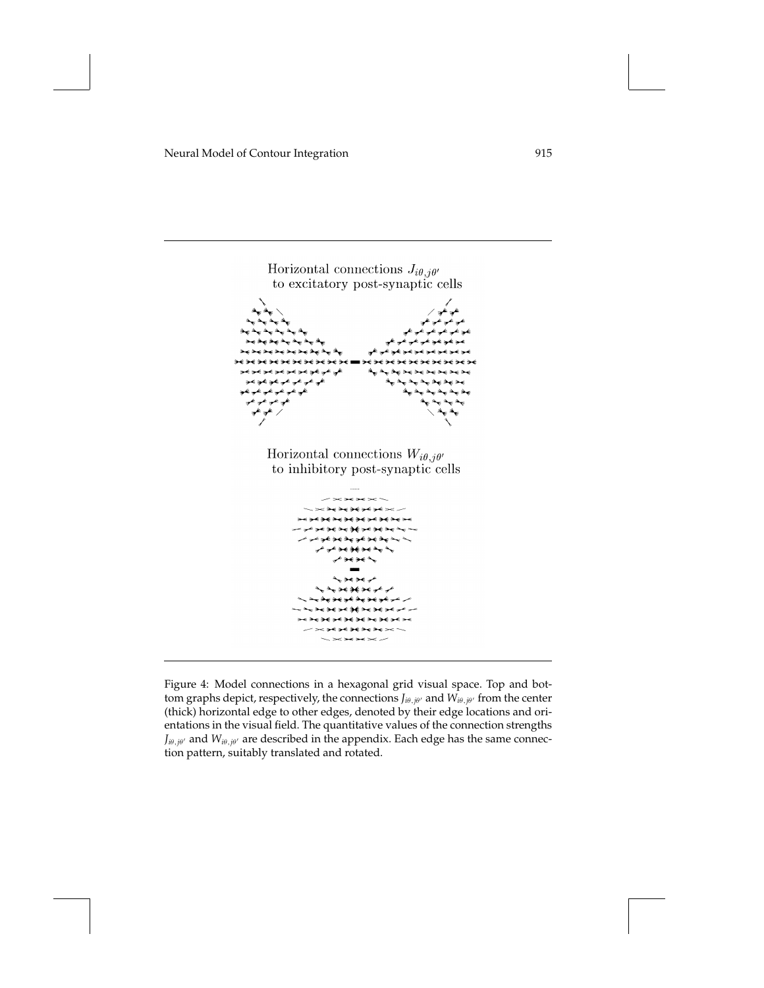

Figure 4: Model connections in a hexagonal grid visual space. Top and bottom graphs depict, respectively, the connections  $J_{i\theta, j\theta}$  and  $W_{i\theta, j\theta}$  from the center (thick) horizontal edge to other edges, denoted by their edge locations and orientations in the visual field. The quantitative values of the connection strengths *J*<sub>i $\theta$ </sub>, $j\theta$ <sup>*'*</sup> and *W*<sub>i $\theta$ </sub>, $j\theta$ <sup>'</sup> are described in the appendix. Each edge has the same connection pattern, suitably translated and rotated.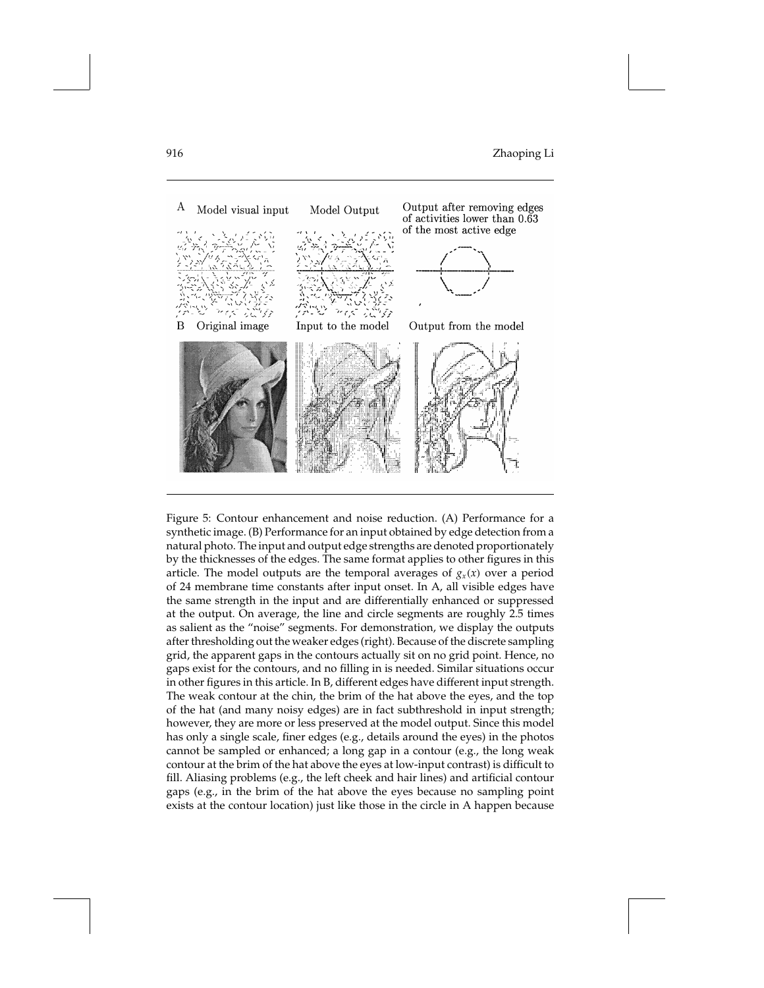

Figure 5: Contour enhancement and noise reduction. (A) Performance for a synthetic image. (B) Performance for an input obtained by edge detection from a natural photo. The input and output edge strengths are denoted proportionately by the thicknesses of the edges. The same format applies to other figures in this article. The model outputs are the temporal averages of  $g_x(x)$  over a period of 24 membrane time constants after input onset. In A, all visible edges have the same strength in the input and are differentially enhanced or suppressed at the output. On average, the line and circle segments are roughly 2.5 times as salient as the "noise" segments. For demonstration, we display the outputs after thresholding out the weaker edges (right). Because of the discrete sampling grid, the apparent gaps in the contours actually sit on no grid point. Hence, no gaps exist for the contours, and no filling in is needed. Similar situations occur in other figures in this article. In B, different edges have different input strength. The weak contour at the chin, the brim of the hat above the eyes, and the top of the hat (and many noisy edges) are in fact subthreshold in input strength; however, they are more or less preserved at the model output. Since this model has only a single scale, finer edges (e.g., details around the eyes) in the photos cannot be sampled or enhanced; a long gap in a contour (e.g., the long weak contour at the brim of the hat above the eyes at low-input contrast) is difficult to fill. Aliasing problems (e.g., the left cheek and hair lines) and artificial contour gaps (e.g., in the brim of the hat above the eyes because no sampling point exists at the contour location) just like those in the circle in A happen because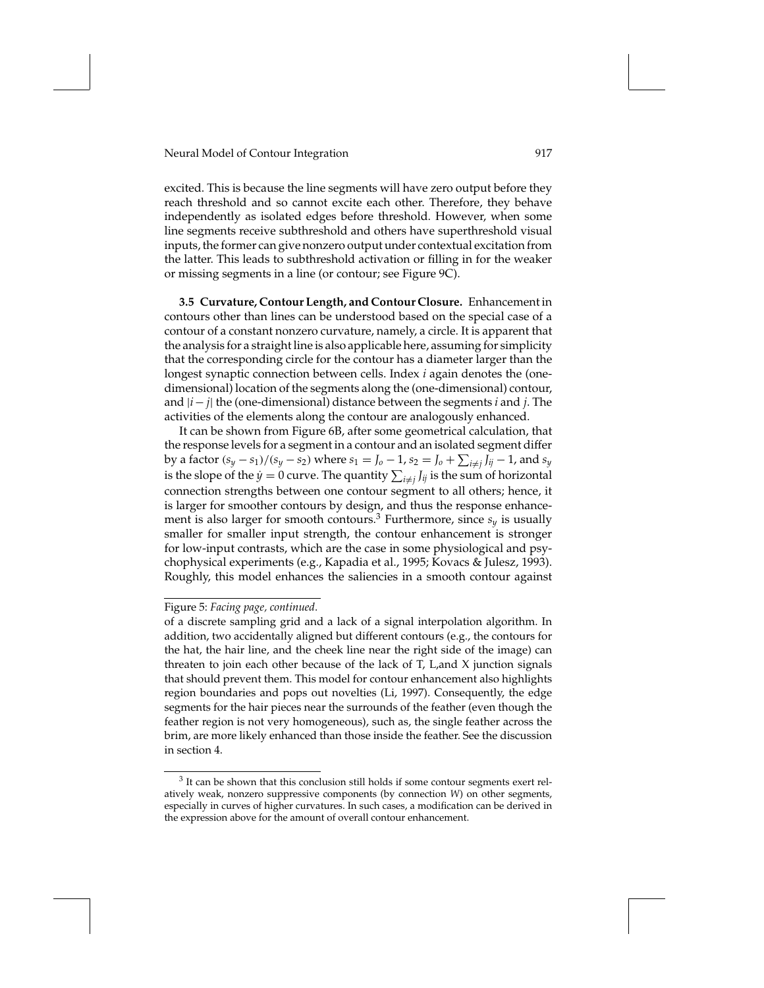excited. This is because the line segments will have zero output before they reach threshold and so cannot excite each other. Therefore, they behave independently as isolated edges before threshold. However, when some line segments receive subthreshold and others have superthreshold visual inputs, the former can give nonzero output under contextual excitation from the latter. This leads to subthreshold activation or filling in for the weaker or missing segments in a line (or contour; see Figure 9C).

**3.5 Curvature, Contour Length, and Contour Closure.** Enhancement in contours other than lines can be understood based on the special case of a contour of a constant nonzero curvature, namely, a circle. It is apparent that the analysis for a straight line is also applicable here, assuming for simplicity that the corresponding circle for the contour has a diameter larger than the longest synaptic connection between cells. Index *i* again denotes the (onedimensional) location of the segments along the (one-dimensional) contour, and |*i*− *j*| the (one-dimensional) distance between the segments *i* and *j*. The activities of the elements along the contour are analogously enhanced.

It can be shown from Figure 6B, after some geometrical calculation, that the response levels for a segment in a contour and an isolated segment differ by a factor  $(s_y - s_1)/(s_y - s_2)$  where  $s_1 = J_o - 1$ ,  $s_2 = J_o + \sum_{i \neq j} J_{ij} - 1$ , and  $s_y$ is the slope of the  $\dot{y} = 0$  curve. The quantity  $\sum_{i \neq j} J_{ij}$  is the sum of horizontal connection strengths between one contour segment to all others; hence, it is larger for smoother contours by design, and thus the response enhancement is also larger for smooth contours.<sup>3</sup> Furthermore, since  $s_y$  is usually smaller for smaller input strength, the contour enhancement is stronger for low-input contrasts, which are the case in some physiological and psychophysical experiments (e.g., Kapadia et al., 1995; Kovacs & Julesz, 1993). Roughly, this model enhances the saliencies in a smooth contour against

Figure 5: *Facing page, continued*.

of a discrete sampling grid and a lack of a signal interpolation algorithm. In addition, two accidentally aligned but different contours (e.g., the contours for the hat, the hair line, and the cheek line near the right side of the image) can threaten to join each other because of the lack of T, L,and X junction signals that should prevent them. This model for contour enhancement also highlights region boundaries and pops out novelties (Li, 1997). Consequently, the edge segments for the hair pieces near the surrounds of the feather (even though the feather region is not very homogeneous), such as, the single feather across the brim, are more likely enhanced than those inside the feather. See the discussion in section 4.

<sup>&</sup>lt;sup>3</sup> It can be shown that this conclusion still holds if some contour segments exert relatively weak, nonzero suppressive components (by connection *W*) on other segments, especially in curves of higher curvatures. In such cases, a modification can be derived in the expression above for the amount of overall contour enhancement.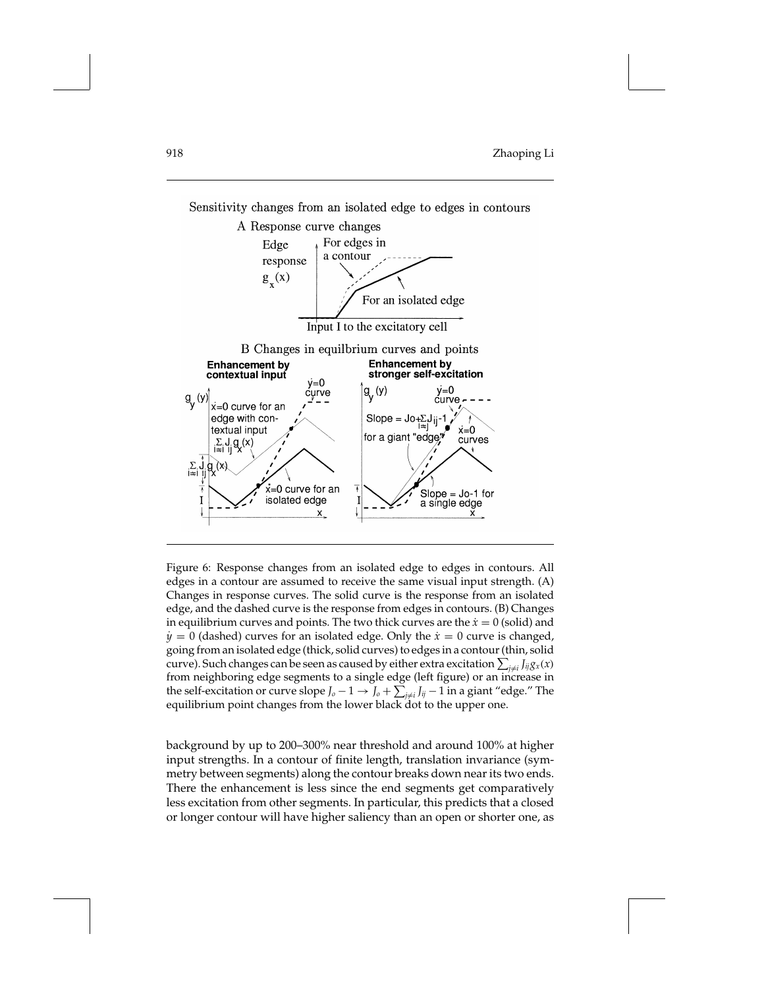

Figure 6: Response changes from an isolated edge to edges in contours. All edges in a contour are assumed to receive the same visual input strength. (A) Changes in response curves. The solid curve is the response from an isolated edge, and the dashed curve is the response from edges in contours. (B) Changes in equilibrium curves and points. The two thick curves are the  $\dot{x} = 0$  (solid) and  $\dot{y} = 0$  (dashed) curves for an isolated edge. Only the  $\dot{x} = 0$  curve is changed, going from an isolated edge (thick, solid curves) to edges in a contour (thin, solid curve). Such changes can be seen as caused by either extra excitation  $\sum_{j\neq i}J_{ij}g_x(x)$ from neighboring edge segments to a single edge (left figure) or an increase in the self-excitation or curve slope *J*<sub>0</sub> − 1 → *J*<sub>0</sub> +  $\sum_{j\neq i}$  *J*<sub>ij</sub> − 1 in a giant "edge." The equilibrium point changes from the lower black dot to the upper one.

background by up to 200–300% near threshold and around 100% at higher input strengths. In a contour of finite length, translation invariance (symmetry between segments) along the contour breaks down near its two ends. There the enhancement is less since the end segments get comparatively less excitation from other segments. In particular, this predicts that a closed or longer contour will have higher saliency than an open or shorter one, as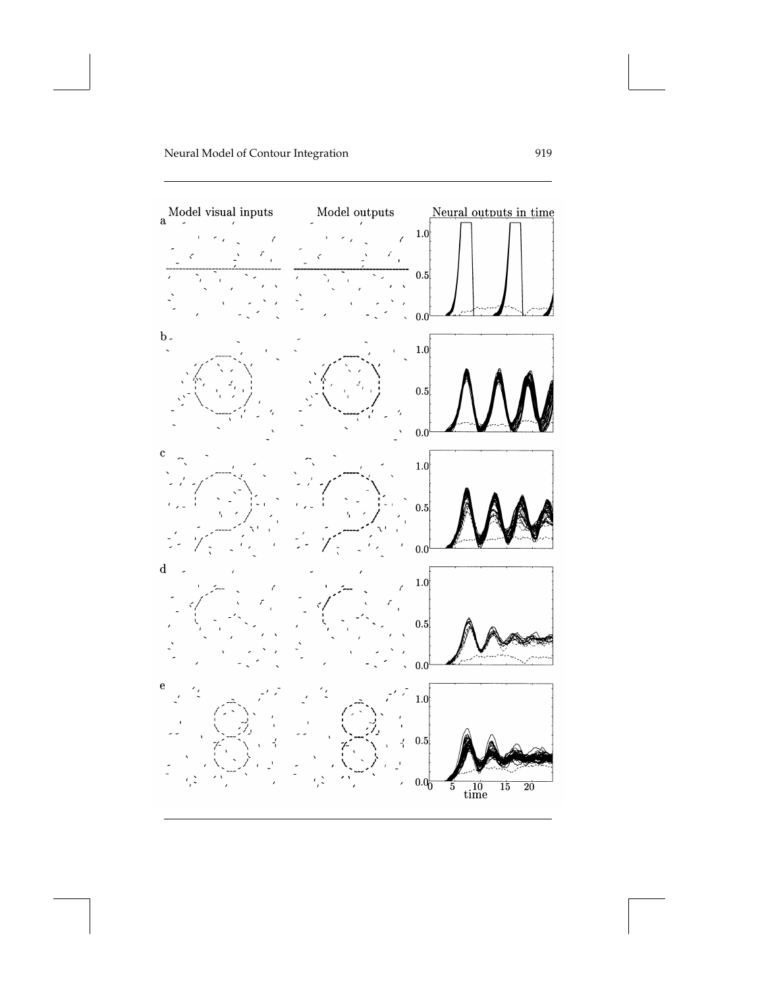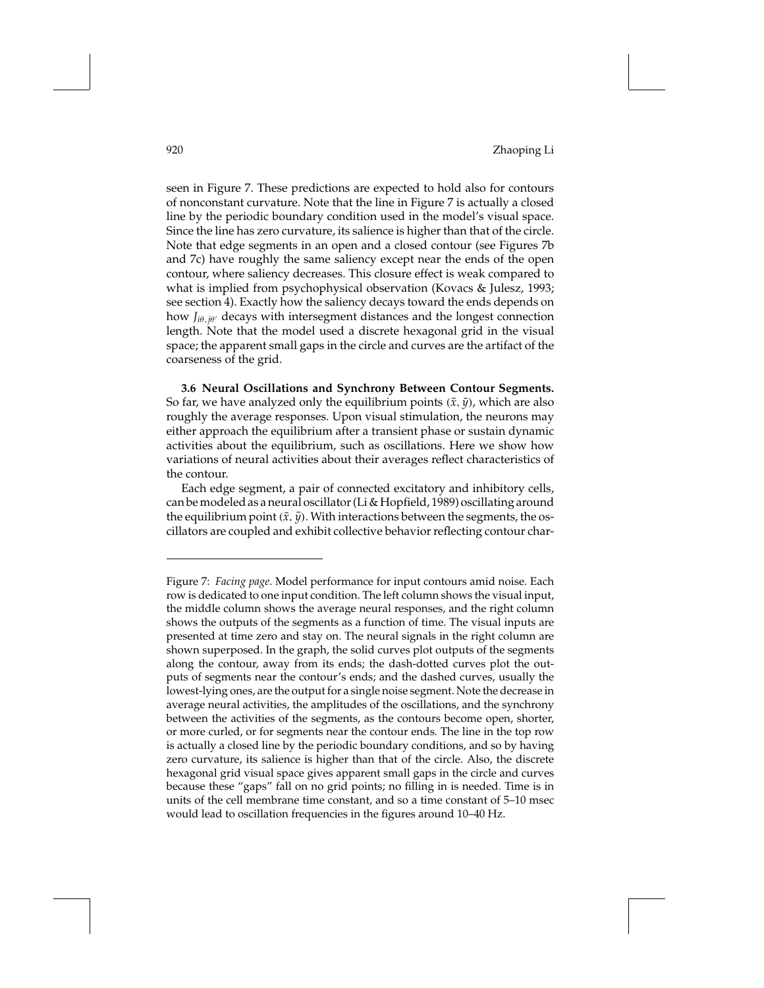seen in Figure 7. These predictions are expected to hold also for contours of nonconstant curvature. Note that the line in Figure 7 is actually a closed line by the periodic boundary condition used in the model's visual space. Since the line has zero curvature, its salience is higher than that of the circle. Note that edge segments in an open and a closed contour (see Figures 7b and 7c) have roughly the same saliency except near the ends of the open contour, where saliency decreases. This closure effect is weak compared to what is implied from psychophysical observation (Kovacs & Julesz, 1993; see section 4). Exactly how the saliency decays toward the ends depends on how  $J_{i\theta, j\theta}$  decays with intersegment distances and the longest connection length. Note that the model used a discrete hexagonal grid in the visual space; the apparent small gaps in the circle and curves are the artifact of the coarseness of the grid.

**3.6 Neural Oscillations and Synchrony Between Contour Segments.** So far, we have analyzed only the equilibrium points  $(\bar{x}, \bar{y})$ , which are also roughly the average responses. Upon visual stimulation, the neurons may either approach the equilibrium after a transient phase or sustain dynamic activities about the equilibrium, such as oscillations. Here we show how variations of neural activities about their averages reflect characteristics of the contour.

Each edge segment, a pair of connected excitatory and inhibitory cells, can be modeled as a neural oscillator (Li & Hopfield, 1989) oscillating around the equilibrium point  $(\bar{x}, \bar{y})$ . With interactions between the segments, the oscillators are coupled and exhibit collective behavior reflecting contour char-

Figure 7: *Facing page*. Model performance for input contours amid noise. Each row is dedicated to one input condition. The left column shows the visual input, the middle column shows the average neural responses, and the right column shows the outputs of the segments as a function of time. The visual inputs are presented at time zero and stay on. The neural signals in the right column are shown superposed. In the graph, the solid curves plot outputs of the segments along the contour, away from its ends; the dash-dotted curves plot the outputs of segments near the contour's ends; and the dashed curves, usually the lowest-lying ones, are the output for a single noise segment. Note the decrease in average neural activities, the amplitudes of the oscillations, and the synchrony between the activities of the segments, as the contours become open, shorter, or more curled, or for segments near the contour ends. The line in the top row is actually a closed line by the periodic boundary conditions, and so by having zero curvature, its salience is higher than that of the circle. Also, the discrete hexagonal grid visual space gives apparent small gaps in the circle and curves because these "gaps" fall on no grid points; no filling in is needed. Time is in units of the cell membrane time constant, and so a time constant of 5–10 msec would lead to oscillation frequencies in the figures around 10–40 Hz.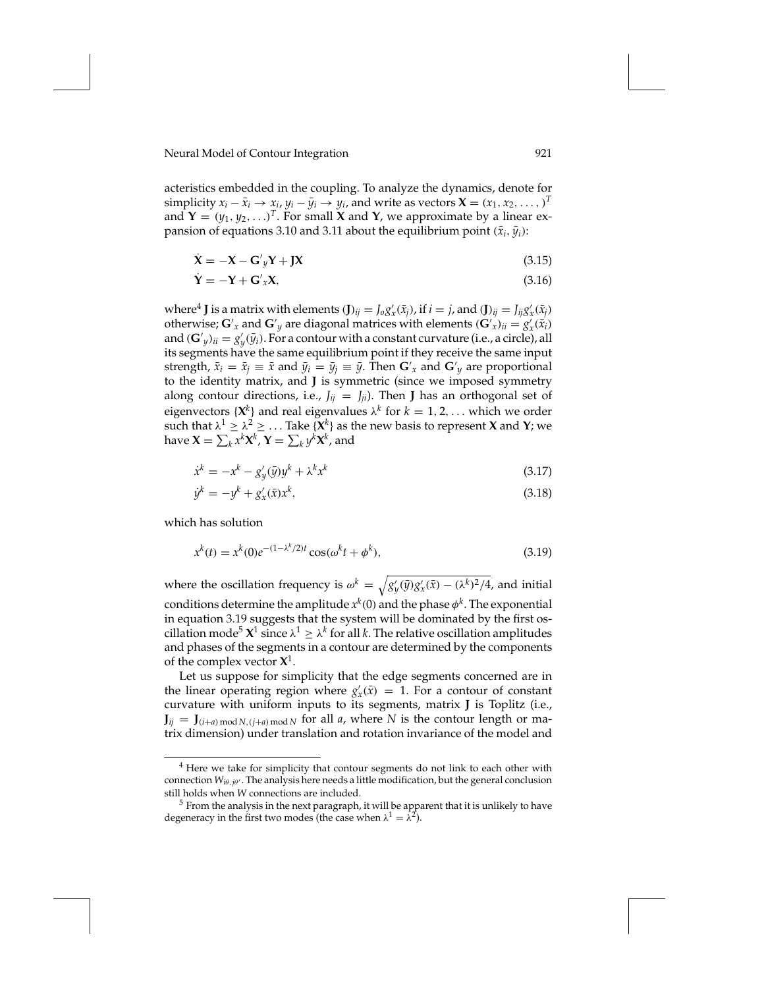acteristics embedded in the coupling. To analyze the dynamics, denote for simplicity  $x_i - \bar{x}_i \rightarrow x_i$ ,  $y_i - \bar{y}_i \rightarrow y_i$ , and write as vectors  $\mathbf{X} = (x_1, x_2, \dots,)^T$ and  $\mathbf{Y} = (y_1, y_2, \ldots)^T$ . For small **X** and **Y**, we approximate by a linear expansion of equations 3.10 and 3.11 about the equilibrium point  $(\bar{x}_i, \bar{y}_i)$ :

$$
\dot{\mathbf{X}} = -\mathbf{X} - \mathbf{G}'_y \mathbf{Y} + \mathbf{J} \mathbf{X} \tag{3.15}
$$

$$
\dot{\mathbf{Y}} = -\mathbf{Y} + \mathbf{G}'_{x}\mathbf{X},\tag{3.16}
$$

where<sup>4</sup> **J** is a matrix with elements  $(J)_{ij} = J_o g'_x(\bar{x}_j)$ , if  $i = j$ , and  $(J)_{ij} = J_{ij} g'_x(\bar{x}_j)$ otherwise;  $G'_x$  and  $G'_y$  are diagonal matrices with elements  $(G'_x)_{ii} = g'_x(\bar{x}_i)$ and  $(\mathbf{G}'_y)_{ii} = g'_y(\bar{y}_i)$ . For a contour with a constant curvature (i.e., a circle), all its segments have the same equilibrium point if they receive the same input strength,  $\bar{x}_i = \bar{x}_j \equiv \bar{x}$  and  $\bar{y}_i = \bar{y}_j \equiv \bar{y}$ . Then  $\mathbf{G}'_x$  and  $\mathbf{G}'_y$  are proportional to the identity matrix, and **J** is symmetric (since we imposed symmetry along contour directions, i.e.,  $J_{ij} = J_{ji}$ ). Then **J** has an orthogonal set of eigenvectors { $X^k$ } and real eigenvalues  $\lambda^k$  for  $k = 1, 2, ...$  which we order such that  $\lambda^1 \geq \lambda^2 \geq \ldots$  Take  $\{X^k\}$  as the new basis to represent **X** and **Y**; we have  $\mathbf{X} = \sum_k x^k \mathbf{X}^k$ ,  $\mathbf{Y} = \sum_k y^k \mathbf{X}^k$ , and

$$
\dot{x}^k = -x^k - g_y'(\bar{y})y^k + \lambda^k x^k \tag{3.17}
$$

$$
\dot{y}^k = -y^k + g'_x(\bar{x})x^k,\tag{3.18}
$$

which has solution

$$
x^{k}(t) = x^{k}(0)e^{-(1-\lambda^{k}/2)t}\cos(\omega^{k}t + \phi^{k}),
$$
\n(3.19)

where the oscillation frequency is  $\omega^k = \sqrt{g'_y(\bar{y})g'_x(\bar{x}) - (\lambda^k)^2/4}$ , and initial conditions determine the amplitude  $x^k(0)$  and the phase  $\phi^k$ . The exponential in equation 3.19 suggests that the system will be dominated by the first oscillation mode<sup>5</sup>  $\mathbf{X}^1$  since  $\lambda^1 \geq \lambda^k$  for all *k*. The relative oscillation amplitudes and phases of the segments in a contour are determined by the components of the complex vector **X**1.

Let us suppose for simplicity that the edge segments concerned are in the linear operating region where  $g'_x(\bar{x}) = 1$ . For a contour of constant curvature with uniform inputs to its segments, matrix **J** is Toplitz (i.e.,  $J_{ij} = J_{(i+a) \mod N, (j+a) \mod N}$  for all *a*, where *N* is the contour length or matrix dimension) under translation and rotation invariance of the model and

<sup>&</sup>lt;sup>4</sup> Here we take for simplicity that contour segments do not link to each other with connection  $W_{i\theta, j\theta}$ . The analysis here needs a little modification, but the general conclusion still holds when *W* connections are included.

 $5$  From the analysis in the next paragraph, it will be apparent that it is unlikely to have degeneracy in the first two modes (the case when  $\lambda^1 = \lambda^2$ ).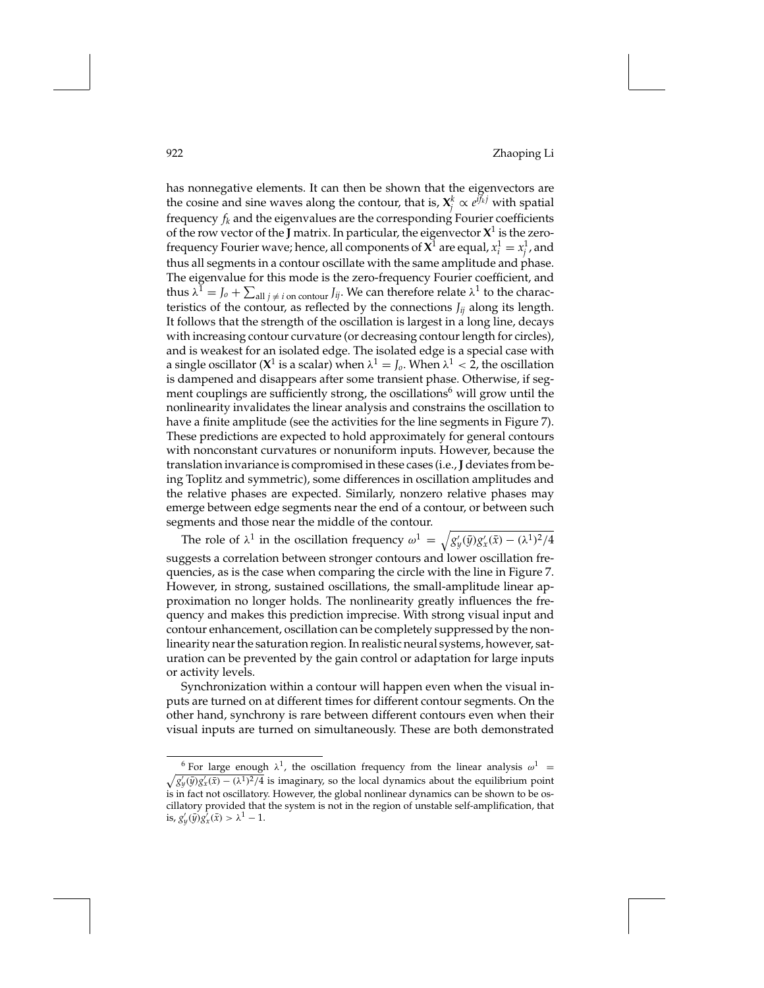has nonnegative elements. It can then be shown that the eigenvectors are the cosine and sine waves along the contour, that is,  $X_j^k \propto e^{i f_k j}$  with spatial frequency  $f_k$  and the eigenvalues are the corresponding Fourier coefficients of the row vector of the **J** matrix. In particular, the eigenvector **X**<sup>1</sup> is the zerofrequency Fourier wave; hence, all components of  $\mathbf{X}^1$  are equal,  $x_i^1 = x_j^1$ , and thus all segments in a contour oscillate with the same amplitude and phase. The eigenvalue for this mode is the zero-frequency Fourier coefficient, and thus  $\lambda^1 = J_0 + \sum_{\text{all }j\neq i\text{ on contour }}J_{ij}$ . We can therefore relate  $\lambda^1$  to the characteristics of the contour, as reflected by the connections  $J_{ij}$  along its length. It follows that the strength of the oscillation is largest in a long line, decays with increasing contour curvature (or decreasing contour length for circles), and is weakest for an isolated edge. The isolated edge is a special case with a single oscillator ( $\mathbf{X}^1$  is a scalar) when  $\lambda^1 = J_0$ . When  $\lambda^1 < 2$ , the oscillation is dampened and disappears after some transient phase. Otherwise, if segment couplings are sufficiently strong, the oscillations<sup>6</sup> will grow until the nonlinearity invalidates the linear analysis and constrains the oscillation to have a finite amplitude (see the activities for the line segments in Figure 7). These predictions are expected to hold approximately for general contours with nonconstant curvatures or nonuniform inputs. However, because the translation invariance is compromised in these cases (i.e.,**J** deviates from being Toplitz and symmetric), some differences in oscillation amplitudes and the relative phases are expected. Similarly, nonzero relative phases may emerge between edge segments near the end of a contour, or between such segments and those near the middle of the contour.

The role of  $\lambda^1$  in the oscillation frequency  $\omega^1 = \sqrt{g'_y(\bar{y})g'_x(\bar{x}) - (\lambda^1)^2/4}$ suggests a correlation between stronger contours and lower oscillation frequencies, as is the case when comparing the circle with the line in Figure 7. However, in strong, sustained oscillations, the small-amplitude linear approximation no longer holds. The nonlinearity greatly influences the frequency and makes this prediction imprecise. With strong visual input and contour enhancement, oscillation can be completely suppressed by the nonlinearity near the saturation region. In realistic neural systems, however, saturation can be prevented by the gain control or adaptation for large inputs or activity levels.

Synchronization within a contour will happen even when the visual inputs are turned on at different times for different contour segments. On the other hand, synchrony is rare between different contours even when their visual inputs are turned on simultaneously. These are both demonstrated

<sup>&</sup>lt;sup>6</sup> For large enough  $\lambda^1$ , the oscillation frequency from the linear analysis  $\omega^1$  =  $\sqrt{g'_y(\bar{y})g'_x(\bar{x}) - (\lambda^1)^2/4}$  is imaginary, so the local dynamics about the equilibrium point is in fact not oscillatory. However, the global nonlinear dynamics can be shown to be oscillatory provided that the system is not in the region of unstable self-amplification, that is,  $g'_y(\bar{y})g'_x(\bar{x}) > \lambda^1 - 1$ .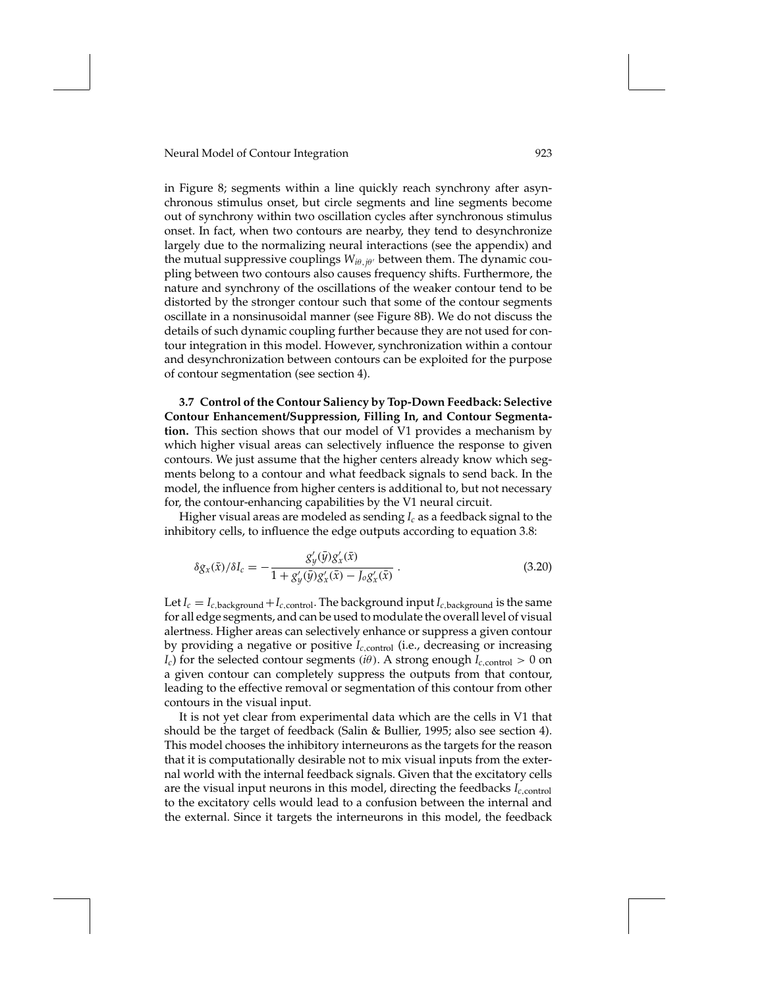in Figure 8; segments within a line quickly reach synchrony after asynchronous stimulus onset, but circle segments and line segments become out of synchrony within two oscillation cycles after synchronous stimulus onset. In fact, when two contours are nearby, they tend to desynchronize largely due to the normalizing neural interactions (see the appendix) and the mutual suppressive couplings  $W_{i\theta, j\theta}$  between them. The dynamic coupling between two contours also causes frequency shifts. Furthermore, the nature and synchrony of the oscillations of the weaker contour tend to be distorted by the stronger contour such that some of the contour segments oscillate in a nonsinusoidal manner (see Figure 8B). We do not discuss the details of such dynamic coupling further because they are not used for contour integration in this model. However, synchronization within a contour and desynchronization between contours can be exploited for the purpose of contour segmentation (see section 4).

**3.7 Control of the Contour Saliency by Top-Down Feedback: Selective Contour Enhancement/Suppression, Filling In, and Contour Segmentation.** This section shows that our model of V1 provides a mechanism by which higher visual areas can selectively influence the response to given contours. We just assume that the higher centers already know which segments belong to a contour and what feedback signals to send back. In the model, the influence from higher centers is additional to, but not necessary for, the contour-enhancing capabilities by the V1 neural circuit.

Higher visual areas are modeled as sending *Ic* as a feedback signal to the inhibitory cells, to influence the edge outputs according to equation 3.8:

$$
\delta g_x(\bar{x})/\delta I_c = -\frac{g_y'(\bar{y})g_x'(\bar{x})}{1 + g_y'(\bar{y})g_x'(\bar{x}) - J_o g_x'(\bar{x})}.
$$
\n(3.20)

Let  $I_c = I_{c,background} + I_{c,control}$ . The background input  $I_{c,background}$  is the same for all edge segments, and can be used to modulate the overall level of visual alertness. Higher areas can selectively enhance or suppress a given contour by providing a negative or positive *I<sub>c,control</sub>* (i.e., decreasing or increasing *I<sub>c</sub>*) for the selected contour segments (*i* $\theta$ ). A strong enough *I<sub>c,control</sub>* > 0 on a given contour can completely suppress the outputs from that contour, leading to the effective removal or segmentation of this contour from other contours in the visual input.

It is not yet clear from experimental data which are the cells in V1 that should be the target of feedback (Salin & Bullier, 1995; also see section 4). This model chooses the inhibitory interneurons as the targets for the reason that it is computationally desirable not to mix visual inputs from the external world with the internal feedback signals. Given that the excitatory cells are the visual input neurons in this model, directing the feedbacks *I<sub>c,control</sub>* to the excitatory cells would lead to a confusion between the internal and the external. Since it targets the interneurons in this model, the feedback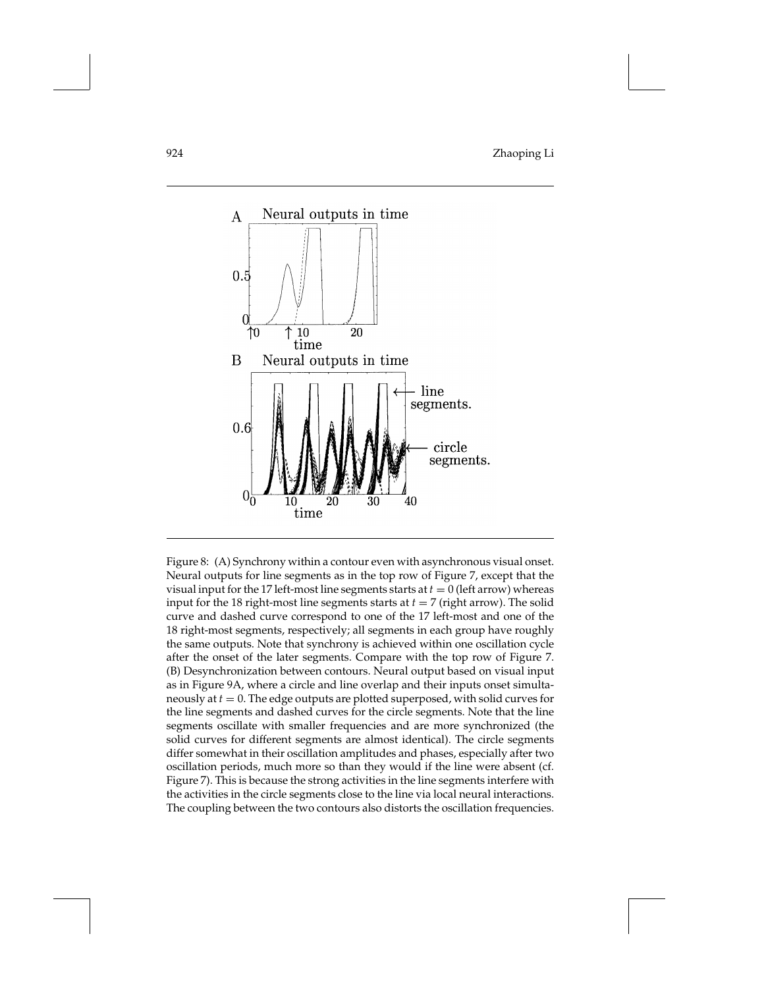

Figure 8: (A) Synchrony within a contour even with asynchronous visual onset. Neural outputs for line segments as in the top row of Figure 7, except that the visual input for the 17 left-most line segments starts at  $t = 0$  (left arrow) whereas input for the 18 right-most line segments starts at  $t = 7$  (right arrow). The solid curve and dashed curve correspond to one of the 17 left-most and one of the 18 right-most segments, respectively; all segments in each group have roughly the same outputs. Note that synchrony is achieved within one oscillation cycle after the onset of the later segments. Compare with the top row of Figure 7. (B) Desynchronization between contours. Neural output based on visual input as in Figure 9A, where a circle and line overlap and their inputs onset simultaneously at *t* = 0. The edge outputs are plotted superposed, with solid curves for the line segments and dashed curves for the circle segments. Note that the line segments oscillate with smaller frequencies and are more synchronized (the solid curves for different segments are almost identical). The circle segments differ somewhat in their oscillation amplitudes and phases, especially after two oscillation periods, much more so than they would if the line were absent (cf. Figure 7). This is because the strong activities in the line segments interfere with the activities in the circle segments close to the line via local neural interactions. The coupling between the two contours also distorts the oscillation frequencies.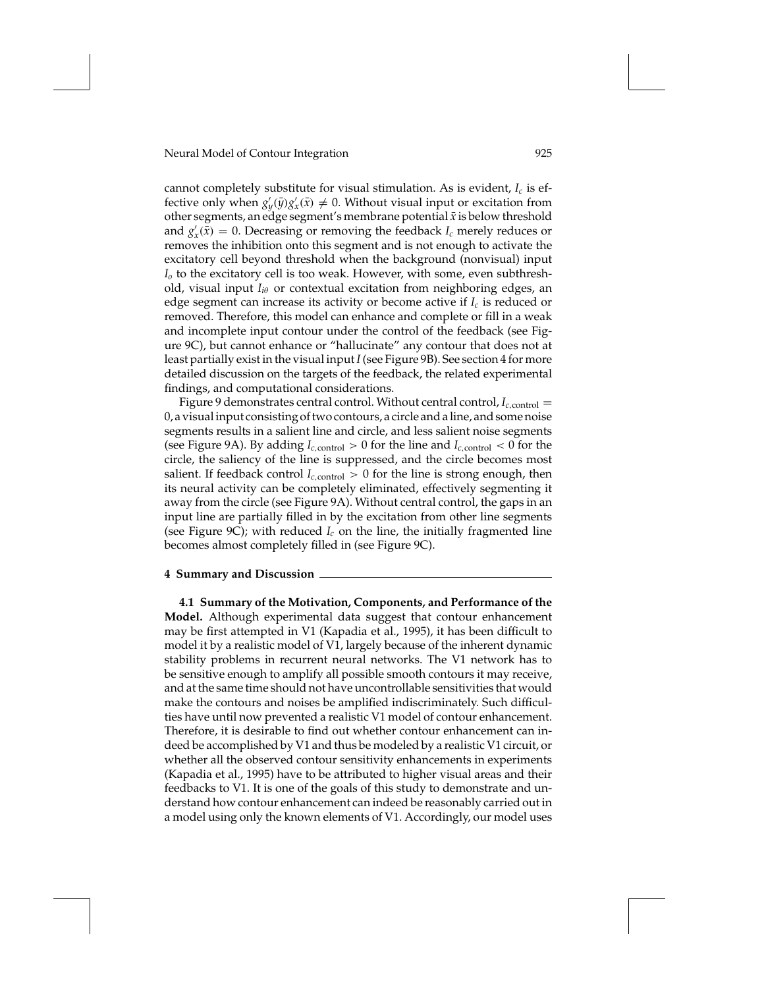cannot completely substitute for visual stimulation. As is evident, *Ic* is effective only when  $g'_y(\bar{y})g'_x(\bar{x}) \neq 0$ . Without visual input or excitation from other segments, an edge segment's membrane potential  $\bar{x}$  is below threshold and  $g'_x(\bar{x}) = 0$ . Decreasing or removing the feedback *I<sub>c</sub>* merely reduces or removes the inhibition onto this segment and is not enough to activate the excitatory cell beyond threshold when the background (nonvisual) input *Io* to the excitatory cell is too weak. However, with some, even subthreshold, visual input *Ii*<sup>θ</sup> or contextual excitation from neighboring edges, an edge segment can increase its activity or become active if *Ic* is reduced or removed. Therefore, this model can enhance and complete or fill in a weak and incomplete input contour under the control of the feedback (see Figure 9C), but cannot enhance or "hallucinate" any contour that does not at least partially exist in the visual input*I* (see Figure 9B). See section 4 for more detailed discussion on the targets of the feedback, the related experimental findings, and computational considerations.

Figure 9 demonstrates central control. Without central control,  $I_{c,\text{control}} =$ 0, a visual input consisting of two contours, a circle and a line, and some noise segments results in a salient line and circle, and less salient noise segments (see Figure 9A). By adding  $I_{c,\text{control}} > 0$  for the line and  $I_{c,\text{control}} < 0$  for the circle, the saliency of the line is suppressed, and the circle becomes most salient. If feedback control  $I_{c,\text{control}} > 0$  for the line is strong enough, then its neural activity can be completely eliminated, effectively segmenting it away from the circle (see Figure 9A). Without central control, the gaps in an input line are partially filled in by the excitation from other line segments (see Figure 9C); with reduced  $I_c$  on the line, the initially fragmented line becomes almost completely filled in (see Figure 9C).

### **4 Summary and Discussion**

**4.1 Summary of the Motivation, Components, and Performance of the Model.** Although experimental data suggest that contour enhancement may be first attempted in V1 (Kapadia et al., 1995), it has been difficult to model it by a realistic model of V1, largely because of the inherent dynamic stability problems in recurrent neural networks. The V1 network has to be sensitive enough to amplify all possible smooth contours it may receive, and at the same time should not have uncontrollable sensitivities that would make the contours and noises be amplified indiscriminately. Such difficulties have until now prevented a realistic V1 model of contour enhancement. Therefore, it is desirable to find out whether contour enhancement can indeed be accomplished by V1 and thus be modeled by a realistic V1 circuit, or whether all the observed contour sensitivity enhancements in experiments (Kapadia et al., 1995) have to be attributed to higher visual areas and their feedbacks to V1. It is one of the goals of this study to demonstrate and understand how contour enhancement can indeed be reasonably carried out in a model using only the known elements of V1. Accordingly, our model uses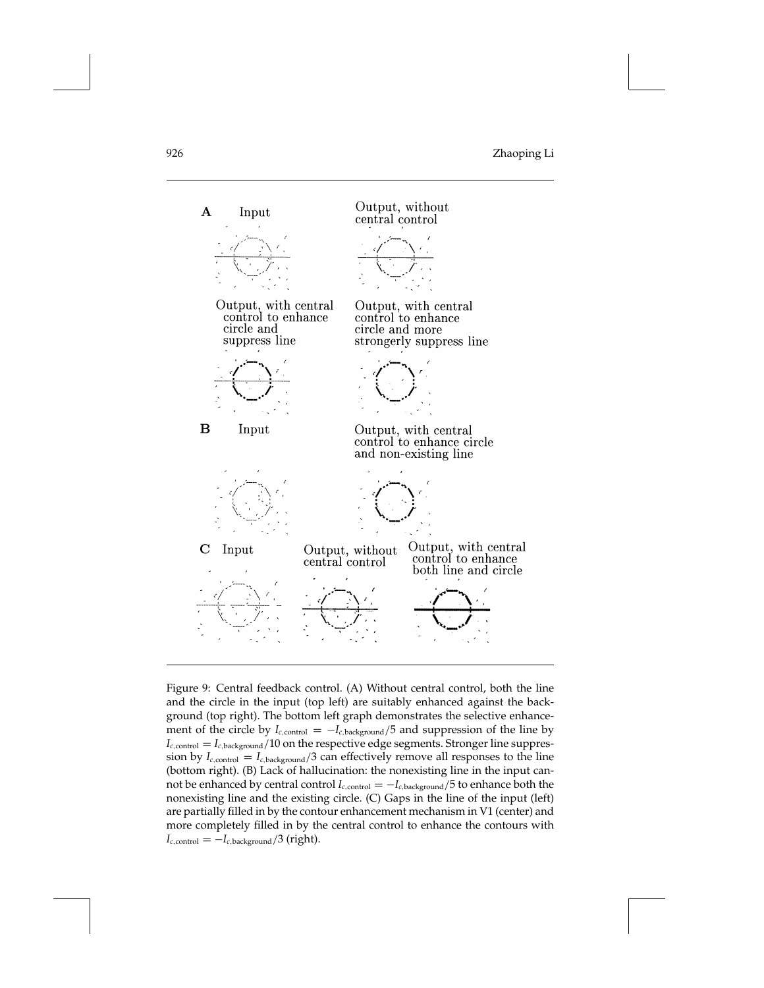

Figure 9: Central feedback control. (A) Without central control, both the line and the circle in the input (top left) are suitably enhanced against the background (top right). The bottom left graph demonstrates the selective enhancement of the circle by  $I_{c,\text{control}} = -I_{c,\text{background}}/5$  and suppression of the line by  $I_{c,\text{control}} = I_{c,\text{background}}/10$  on the respective edge segments. Stronger line suppression by  $I_{c,\text{control}} = I_{c,\text{background}}/3$  can effectively remove all responses to the line (bottom right). (B) Lack of hallucination: the nonexisting line in the input cannot be enhanced by central control  $I_{c,\text{control}} = -I_{c,\text{background}}/5$  to enhance both the nonexisting line and the existing circle. (C) Gaps in the line of the input (left) are partially filled in by the contour enhancement mechanism in V1 (center) and more completely filled in by the central control to enhance the contours with  $I_{c,\text{control}} = -I_{c,\text{background}}/3$  (right).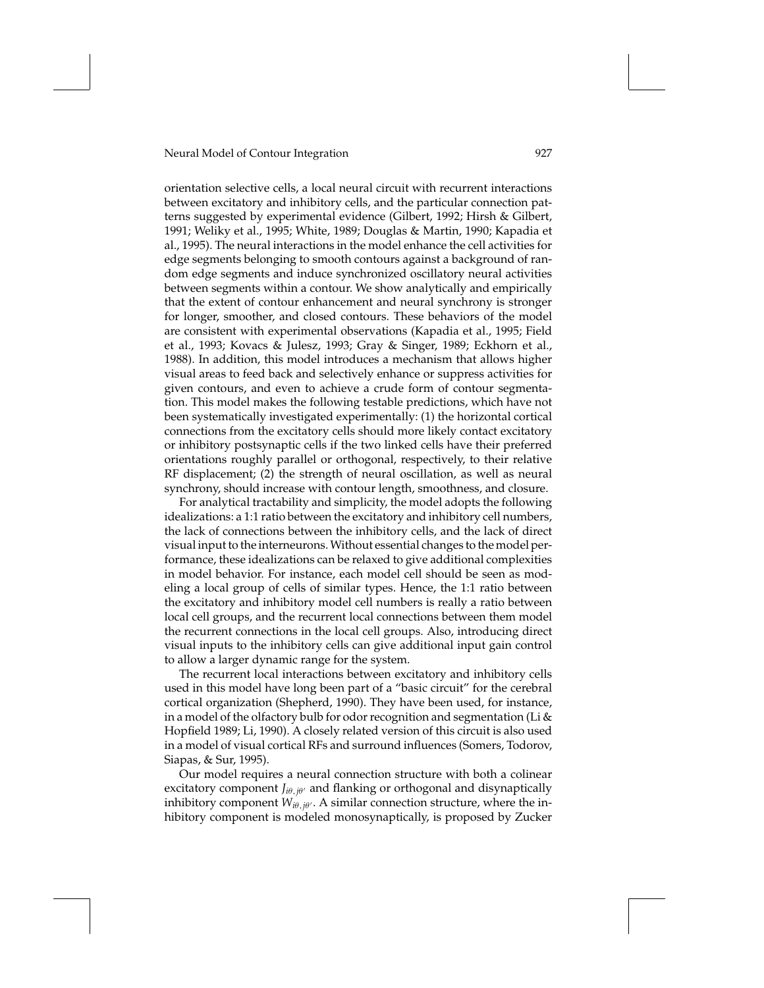orientation selective cells, a local neural circuit with recurrent interactions between excitatory and inhibitory cells, and the particular connection patterns suggested by experimental evidence (Gilbert, 1992; Hirsh & Gilbert, 1991; Weliky et al., 1995; White, 1989; Douglas & Martin, 1990; Kapadia et al., 1995). The neural interactions in the model enhance the cell activities for edge segments belonging to smooth contours against a background of random edge segments and induce synchronized oscillatory neural activities between segments within a contour. We show analytically and empirically that the extent of contour enhancement and neural synchrony is stronger for longer, smoother, and closed contours. These behaviors of the model are consistent with experimental observations (Kapadia et al., 1995; Field et al., 1993; Kovacs & Julesz, 1993; Gray & Singer, 1989; Eckhorn et al., 1988). In addition, this model introduces a mechanism that allows higher visual areas to feed back and selectively enhance or suppress activities for given contours, and even to achieve a crude form of contour segmentation. This model makes the following testable predictions, which have not been systematically investigated experimentally: (1) the horizontal cortical connections from the excitatory cells should more likely contact excitatory or inhibitory postsynaptic cells if the two linked cells have their preferred orientations roughly parallel or orthogonal, respectively, to their relative RF displacement; (2) the strength of neural oscillation, as well as neural synchrony, should increase with contour length, smoothness, and closure.

For analytical tractability and simplicity, the model adopts the following idealizations: a 1:1 ratio between the excitatory and inhibitory cell numbers, the lack of connections between the inhibitory cells, and the lack of direct visual input to the interneurons. Without essential changes to the model performance, these idealizations can be relaxed to give additional complexities in model behavior. For instance, each model cell should be seen as modeling a local group of cells of similar types. Hence, the 1:1 ratio between the excitatory and inhibitory model cell numbers is really a ratio between local cell groups, and the recurrent local connections between them model the recurrent connections in the local cell groups. Also, introducing direct visual inputs to the inhibitory cells can give additional input gain control to allow a larger dynamic range for the system.

The recurrent local interactions between excitatory and inhibitory cells used in this model have long been part of a "basic circuit" for the cerebral cortical organization (Shepherd, 1990). They have been used, for instance, in a model of the olfactory bulb for odor recognition and segmentation (Li & Hopfield 1989; Li, 1990). A closely related version of this circuit is also used in a model of visual cortical RFs and surround influences (Somers, Todorov, Siapas, & Sur, 1995).

Our model requires a neural connection structure with both a colinear excitatory component  $J_{i\theta, j\theta}$  and flanking or orthogonal and disynaptically inhibitory component  $W_{i\theta, j\theta}$ . A similar connection structure, where the inhibitory component is modeled monosynaptically, is proposed by Zucker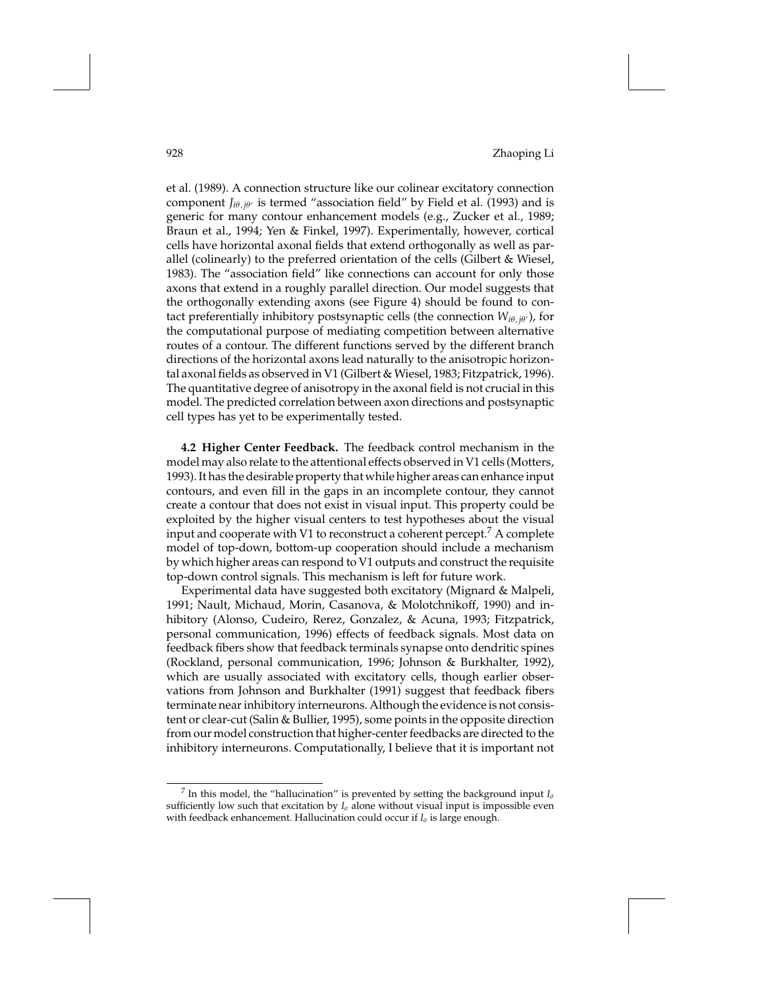### 928 Zhaoping Li

et al. (1989). A connection structure like our colinear excitatory connection component  $J_{i\theta, j\theta}$ <sup>*i*</sup> is termed "association field" by Field et al. (1993) and is generic for many contour enhancement models (e.g., Zucker et al., 1989; Braun et al., 1994; Yen & Finkel, 1997). Experimentally, however, cortical cells have horizontal axonal fields that extend orthogonally as well as parallel (colinearly) to the preferred orientation of the cells (Gilbert & Wiesel, 1983). The "association field" like connections can account for only those axons that extend in a roughly parallel direction. Our model suggests that the orthogonally extending axons (see Figure 4) should be found to contact preferentially inhibitory postsynaptic cells (the connection  $W_{i\theta, j\theta}$ ), for the computational purpose of mediating competition between alternative routes of a contour. The different functions served by the different branch directions of the horizontal axons lead naturally to the anisotropic horizontal axonal fields as observed in V1 (Gilbert & Wiesel, 1983; Fitzpatrick, 1996). The quantitative degree of anisotropy in the axonal field is not crucial in this model. The predicted correlation between axon directions and postsynaptic cell types has yet to be experimentally tested.

**4.2 Higher Center Feedback.** The feedback control mechanism in the model may also relate to the attentional effects observed in V1 cells (Motters, 1993). It has the desirable property that while higher areas can enhance input contours, and even fill in the gaps in an incomplete contour, they cannot create a contour that does not exist in visual input. This property could be exploited by the higher visual centers to test hypotheses about the visual input and cooperate with V1 to reconstruct a coherent percept.<sup>7</sup> A complete model of top-down, bottom-up cooperation should include a mechanism by which higher areas can respond to V1 outputs and construct the requisite top-down control signals. This mechanism is left for future work.

Experimental data have suggested both excitatory (Mignard & Malpeli, 1991; Nault, Michaud, Morin, Casanova, & Molotchnikoff, 1990) and inhibitory (Alonso, Cudeiro, Rerez, Gonzalez, & Acuna, 1993; Fitzpatrick, personal communication, 1996) effects of feedback signals. Most data on feedback fibers show that feedback terminals synapse onto dendritic spines (Rockland, personal communication, 1996; Johnson & Burkhalter, 1992), which are usually associated with excitatory cells, though earlier observations from Johnson and Burkhalter (1991) suggest that feedback fibers terminate near inhibitory interneurons. Although the evidence is not consistent or clear-cut (Salin & Bullier, 1995), some points in the opposite direction from our model construction that higher-center feedbacks are directed to the inhibitory interneurons. Computationally, I believe that it is important not

<sup>7</sup> In this model, the "hallucination" is prevented by setting the background input *Io* sufficiently low such that excitation by *Io* alone without visual input is impossible even with feedback enhancement. Hallucination could occur if *Io* is large enough.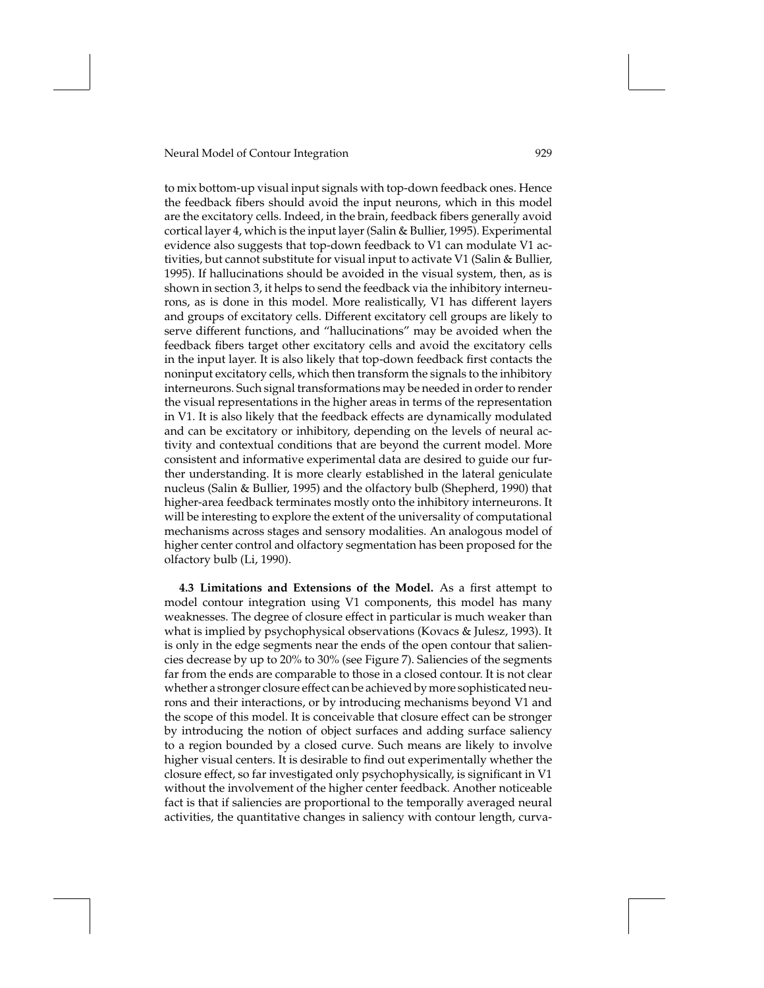to mix bottom-up visual input signals with top-down feedback ones. Hence the feedback fibers should avoid the input neurons, which in this model are the excitatory cells. Indeed, in the brain, feedback fibers generally avoid cortical layer 4, which is the input layer (Salin & Bullier, 1995). Experimental evidence also suggests that top-down feedback to V1 can modulate V1 activities, but cannot substitute for visual input to activate V1 (Salin & Bullier, 1995). If hallucinations should be avoided in the visual system, then, as is shown in section 3, it helps to send the feedback via the inhibitory interneurons, as is done in this model. More realistically, V1 has different layers and groups of excitatory cells. Different excitatory cell groups are likely to serve different functions, and "hallucinations" may be avoided when the feedback fibers target other excitatory cells and avoid the excitatory cells in the input layer. It is also likely that top-down feedback first contacts the noninput excitatory cells, which then transform the signals to the inhibitory interneurons. Such signal transformations may be needed in order to render the visual representations in the higher areas in terms of the representation in V1. It is also likely that the feedback effects are dynamically modulated and can be excitatory or inhibitory, depending on the levels of neural activity and contextual conditions that are beyond the current model. More consistent and informative experimental data are desired to guide our further understanding. It is more clearly established in the lateral geniculate nucleus (Salin & Bullier, 1995) and the olfactory bulb (Shepherd, 1990) that higher-area feedback terminates mostly onto the inhibitory interneurons. It will be interesting to explore the extent of the universality of computational mechanisms across stages and sensory modalities. An analogous model of higher center control and olfactory segmentation has been proposed for the olfactory bulb (Li, 1990).

**4.3 Limitations and Extensions of the Model.** As a first attempt to model contour integration using V1 components, this model has many weaknesses. The degree of closure effect in particular is much weaker than what is implied by psychophysical observations (Kovacs & Julesz, 1993). It is only in the edge segments near the ends of the open contour that saliencies decrease by up to 20% to 30% (see Figure 7). Saliencies of the segments far from the ends are comparable to those in a closed contour. It is not clear whether a stronger closure effect can be achieved by more sophisticated neurons and their interactions, or by introducing mechanisms beyond V1 and the scope of this model. It is conceivable that closure effect can be stronger by introducing the notion of object surfaces and adding surface saliency to a region bounded by a closed curve. Such means are likely to involve higher visual centers. It is desirable to find out experimentally whether the closure effect, so far investigated only psychophysically, is significant in V1 without the involvement of the higher center feedback. Another noticeable fact is that if saliencies are proportional to the temporally averaged neural activities, the quantitative changes in saliency with contour length, curva-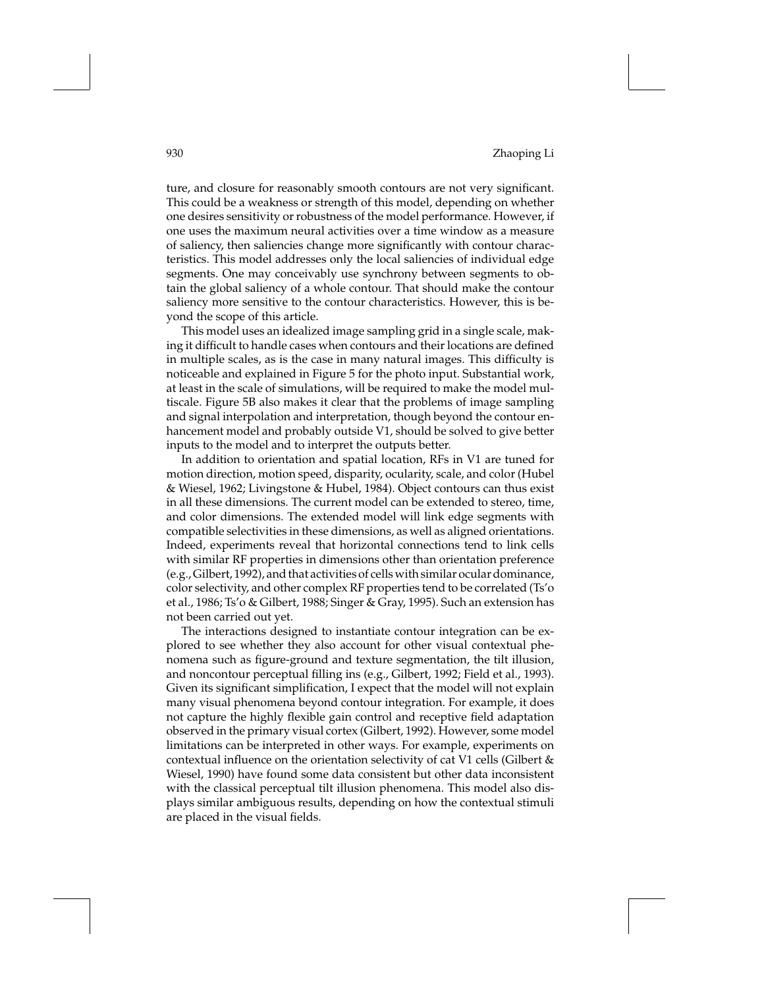# 930 Zhaoping Li

ture, and closure for reasonably smooth contours are not very significant. This could be a weakness or strength of this model, depending on whether one desires sensitivity or robustness of the model performance. However, if one uses the maximum neural activities over a time window as a measure of saliency, then saliencies change more significantly with contour characteristics. This model addresses only the local saliencies of individual edge segments. One may conceivably use synchrony between segments to obtain the global saliency of a whole contour. That should make the contour saliency more sensitive to the contour characteristics. However, this is beyond the scope of this article.

This model uses an idealized image sampling grid in a single scale, making it difficult to handle cases when contours and their locations are defined in multiple scales, as is the case in many natural images. This difficulty is noticeable and explained in Figure 5 for the photo input. Substantial work, at least in the scale of simulations, will be required to make the model multiscale. Figure 5B also makes it clear that the problems of image sampling and signal interpolation and interpretation, though beyond the contour enhancement model and probably outside V1, should be solved to give better inputs to the model and to interpret the outputs better.

In addition to orientation and spatial location, RFs in V1 are tuned for motion direction, motion speed, disparity, ocularity, scale, and color (Hubel & Wiesel, 1962; Livingstone & Hubel, 1984). Object contours can thus exist in all these dimensions. The current model can be extended to stereo, time, and color dimensions. The extended model will link edge segments with compatible selectivities in these dimensions, as well as aligned orientations. Indeed, experiments reveal that horizontal connections tend to link cells with similar RF properties in dimensions other than orientation preference (e.g., Gilbert, 1992), and that activities of cells with similar ocular dominance, color selectivity, and other complex RF properties tend to be correlated (Ts'o et al., 1986; Ts'o & Gilbert, 1988; Singer & Gray, 1995). Such an extension has not been carried out yet.

The interactions designed to instantiate contour integration can be explored to see whether they also account for other visual contextual phenomena such as figure-ground and texture segmentation, the tilt illusion, and noncontour perceptual filling ins (e.g., Gilbert, 1992; Field et al., 1993). Given its significant simplification, I expect that the model will not explain many visual phenomena beyond contour integration. For example, it does not capture the highly flexible gain control and receptive field adaptation observed in the primary visual cortex (Gilbert, 1992). However, some model limitations can be interpreted in other ways. For example, experiments on contextual influence on the orientation selectivity of cat V1 cells (Gilbert & Wiesel, 1990) have found some data consistent but other data inconsistent with the classical perceptual tilt illusion phenomena. This model also displays similar ambiguous results, depending on how the contextual stimuli are placed in the visual fields.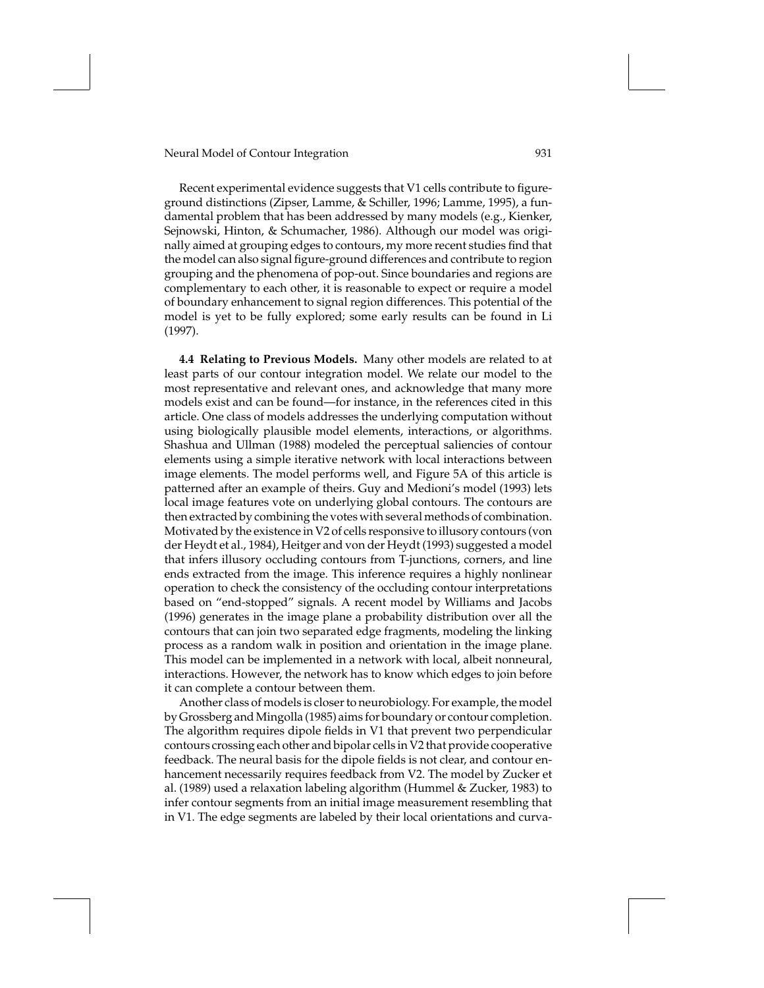Recent experimental evidence suggests that V1 cells contribute to figureground distinctions (Zipser, Lamme, & Schiller, 1996; Lamme, 1995), a fundamental problem that has been addressed by many models (e.g., Kienker, Sejnowski, Hinton, & Schumacher, 1986). Although our model was originally aimed at grouping edges to contours, my more recent studies find that the model can also signal figure-ground differences and contribute to region grouping and the phenomena of pop-out. Since boundaries and regions are complementary to each other, it is reasonable to expect or require a model of boundary enhancement to signal region differences. This potential of the model is yet to be fully explored; some early results can be found in Li (1997).

**4.4 Relating to Previous Models.** Many other models are related to at least parts of our contour integration model. We relate our model to the most representative and relevant ones, and acknowledge that many more models exist and can be found—for instance, in the references cited in this article. One class of models addresses the underlying computation without using biologically plausible model elements, interactions, or algorithms. Shashua and Ullman (1988) modeled the perceptual saliencies of contour elements using a simple iterative network with local interactions between image elements. The model performs well, and Figure 5A of this article is patterned after an example of theirs. Guy and Medioni's model (1993) lets local image features vote on underlying global contours. The contours are then extracted by combining the votes with several methods of combination. Motivated by the existence in V2 of cells responsive to illusory contours (von der Heydt et al., 1984), Heitger and von der Heydt (1993) suggested a model that infers illusory occluding contours from T-junctions, corners, and line ends extracted from the image. This inference requires a highly nonlinear operation to check the consistency of the occluding contour interpretations based on "end-stopped" signals. A recent model by Williams and Jacobs (1996) generates in the image plane a probability distribution over all the contours that can join two separated edge fragments, modeling the linking process as a random walk in position and orientation in the image plane. This model can be implemented in a network with local, albeit nonneural, interactions. However, the network has to know which edges to join before it can complete a contour between them.

Another class of models is closer to neurobiology. For example, the model by Grossberg and Mingolla (1985) aims for boundary or contour completion. The algorithm requires dipole fields in V1 that prevent two perpendicular contours crossing each other and bipolar cells in V2 that provide cooperative feedback. The neural basis for the dipole fields is not clear, and contour enhancement necessarily requires feedback from V2. The model by Zucker et al. (1989) used a relaxation labeling algorithm (Hummel & Zucker, 1983) to infer contour segments from an initial image measurement resembling that in V1. The edge segments are labeled by their local orientations and curva-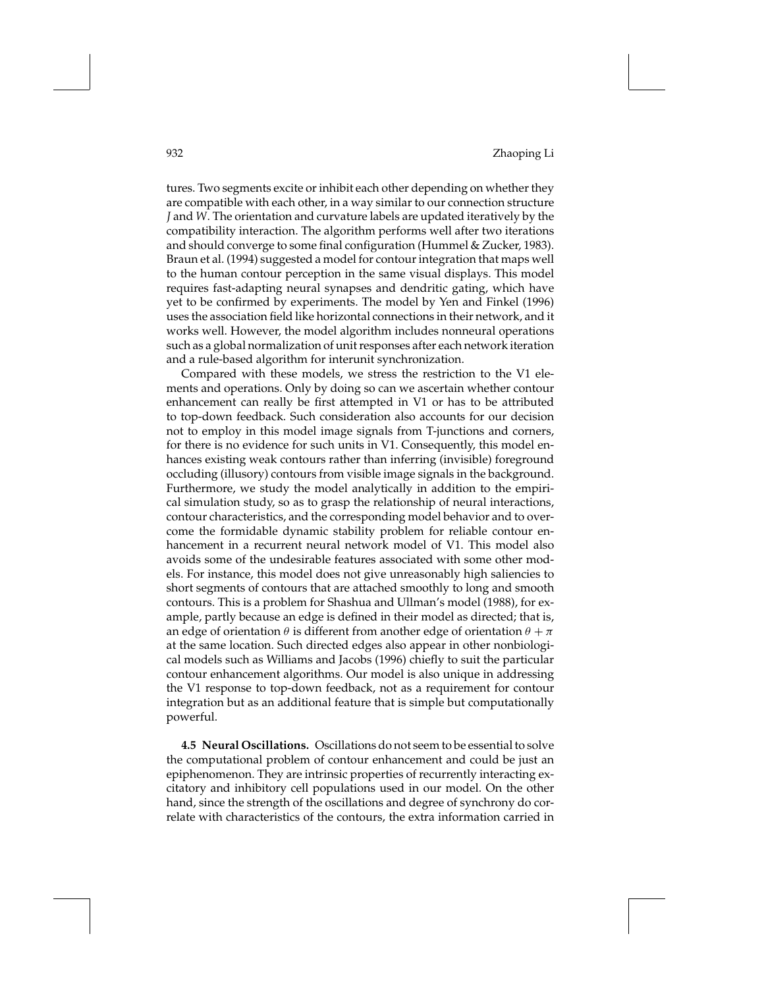# 932 Zhaoping Li

tures. Two segments excite or inhibit each other depending on whether they are compatible with each other, in a way similar to our connection structure *J* and *W*. The orientation and curvature labels are updated iteratively by the compatibility interaction. The algorithm performs well after two iterations and should converge to some final configuration (Hummel & Zucker, 1983). Braun et al. (1994) suggested a model for contour integration that maps well to the human contour perception in the same visual displays. This model requires fast-adapting neural synapses and dendritic gating, which have yet to be confirmed by experiments. The model by Yen and Finkel (1996) uses the association field like horizontal connections in their network, and it works well. However, the model algorithm includes nonneural operations such as a global normalization of unit responses after each network iteration and a rule-based algorithm for interunit synchronization.

Compared with these models, we stress the restriction to the V1 elements and operations. Only by doing so can we ascertain whether contour enhancement can really be first attempted in V1 or has to be attributed to top-down feedback. Such consideration also accounts for our decision not to employ in this model image signals from T-junctions and corners, for there is no evidence for such units in V1. Consequently, this model enhances existing weak contours rather than inferring (invisible) foreground occluding (illusory) contours from visible image signals in the background. Furthermore, we study the model analytically in addition to the empirical simulation study, so as to grasp the relationship of neural interactions, contour characteristics, and the corresponding model behavior and to overcome the formidable dynamic stability problem for reliable contour enhancement in a recurrent neural network model of V1. This model also avoids some of the undesirable features associated with some other models. For instance, this model does not give unreasonably high saliencies to short segments of contours that are attached smoothly to long and smooth contours. This is a problem for Shashua and Ullman's model (1988), for example, partly because an edge is defined in their model as directed; that is, an edge of orientation  $\theta$  is different from another edge of orientation  $\theta + \pi$ at the same location. Such directed edges also appear in other nonbiological models such as Williams and Jacobs (1996) chiefly to suit the particular contour enhancement algorithms. Our model is also unique in addressing the V1 response to top-down feedback, not as a requirement for contour integration but as an additional feature that is simple but computationally powerful.

**4.5 Neural Oscillations.** Oscillations do not seem to be essential to solve the computational problem of contour enhancement and could be just an epiphenomenon. They are intrinsic properties of recurrently interacting excitatory and inhibitory cell populations used in our model. On the other hand, since the strength of the oscillations and degree of synchrony do correlate with characteristics of the contours, the extra information carried in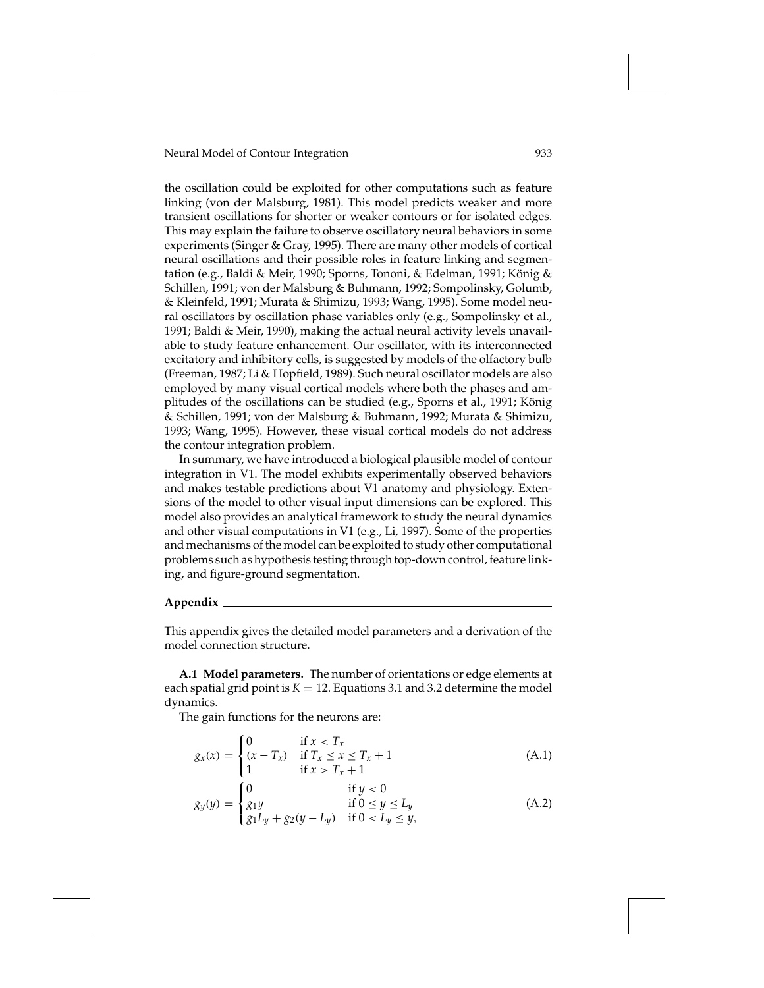the oscillation could be exploited for other computations such as feature linking (von der Malsburg, 1981). This model predicts weaker and more transient oscillations for shorter or weaker contours or for isolated edges. This may explain the failure to observe oscillatory neural behaviors in some experiments (Singer & Gray, 1995). There are many other models of cortical neural oscillations and their possible roles in feature linking and segmentation (e.g., Baldi & Meir, 1990; Sporns, Tononi, & Edelman, 1991; König & Schillen, 1991; von der Malsburg & Buhmann, 1992; Sompolinsky, Golumb, & Kleinfeld, 1991; Murata & Shimizu, 1993; Wang, 1995). Some model neural oscillators by oscillation phase variables only (e.g., Sompolinsky et al., 1991; Baldi & Meir, 1990), making the actual neural activity levels unavailable to study feature enhancement. Our oscillator, with its interconnected excitatory and inhibitory cells, is suggested by models of the olfactory bulb (Freeman, 1987; Li & Hopfield, 1989). Such neural oscillator models are also employed by many visual cortical models where both the phases and amplitudes of the oscillations can be studied (e.g., Sporns et al., 1991; König & Schillen, 1991; von der Malsburg & Buhmann, 1992; Murata & Shimizu, 1993; Wang, 1995). However, these visual cortical models do not address the contour integration problem.

In summary, we have introduced a biological plausible model of contour integration in V1. The model exhibits experimentally observed behaviors and makes testable predictions about V1 anatomy and physiology. Extensions of the model to other visual input dimensions can be explored. This model also provides an analytical framework to study the neural dynamics and other visual computations in V1 (e.g., Li, 1997). Some of the properties and mechanisms of the model can be exploited to study other computational problems such as hypothesis testing through top-down control, feature linking, and figure-ground segmentation.

# **Appendix**

This appendix gives the detailed model parameters and a derivation of the model connection structure.

**A.1 Model parameters.** The number of orientations or edge elements at each spatial grid point is  $K = 12$ . Equations 3.1 and 3.2 determine the model dynamics.

The gain functions for the neurons are:

$$
g_x(x) = \begin{cases} 0 & \text{if } x < T_x \\ (x - T_x) & \text{if } T_x \le x \le T_x + 1 \\ 1 & \text{if } x > T_x + 1 \end{cases}
$$
(A.1)

$$
g_y(y) = \begin{cases} 0 & \text{if } y < 0\\ g_1y & \text{if } 0 \le y \le L_y\\ g_1L_y + g_2(y - L_y) & \text{if } 0 < L_y \le y, \end{cases}
$$
 (A.2)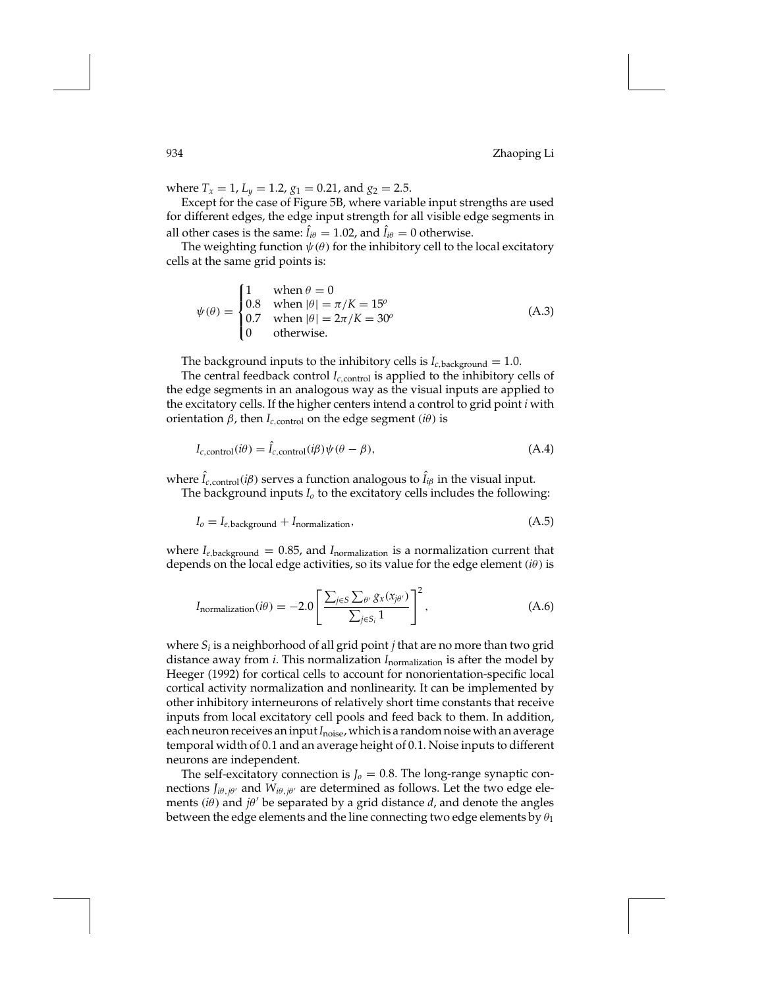where  $T_x = 1$ ,  $L_y = 1.2$ ,  $g_1 = 0.21$ , and  $g_2 = 2.5$ .

Except for the case of Figure 5B, where variable input strengths are used for different edges, the edge input strength for all visible edge segments in all other cases is the same:  $\hat{I}_{i\theta} = 1.02$ , and  $\hat{I}_{i\theta} = 0$  otherwise.

The weighting function  $\psi(\theta)$  for the inhibitory cell to the local excitatory cells at the same grid points is:

$$
\psi(\theta) = \begin{cases}\n1 & \text{when } \theta = 0 \\
0.8 & \text{when } |\theta| = \pi/K = 15^{\circ} \\
0.7 & \text{when } |\theta| = 2\pi/K = 30^{\circ} \\
0 & \text{otherwise.} \n\end{cases}
$$
\n(A.3)

The background inputs to the inhibitory cells is  $I_{c, \text{background}} = 1.0$ .

The central feedback control *Ic*,control is applied to the inhibitory cells of the edge segments in an analogous way as the visual inputs are applied to the excitatory cells. If the higher centers intend a control to grid point *i* with orientation  $β$ , then *I<sub>c,control</sub>* on the edge segment (*i*θ) is

$$
I_{c,\text{control}}(i\theta) = \hat{I}_{c,\text{control}}(i\beta)\psi(\theta - \beta),\tag{A.4}
$$

where  $\hat{I}_{c,\text{control}}(i\beta)$  serves a function analogous to  $\hat{I}_{i\beta}$  in the visual input.

The background inputs *Io* to the excitatory cells includes the following:

$$
I_0 = I_{e,\text{background}} + I_{\text{normalization}},\tag{A.5}
$$

where  $I_{e, \text{background}} = 0.85$ , and  $I_{\text{normalization}}$  is a normalization current that depends on the local edge activities, so its value for the edge element  $(i\theta)$  is

$$
I_{\text{normalization}}(i\theta) = -2.0 \left[ \frac{\sum_{j \in S} \sum_{\theta'} g_x(x_{j\theta'})}{\sum_{j \in S_i} 1} \right]^2, \tag{A.6}
$$

where *Si* is a neighborhood of all grid point *j* that are no more than two grid distance away from *i*. This normalization *I*normalization is after the model by Heeger (1992) for cortical cells to account for nonorientation-specific local cortical activity normalization and nonlinearity. It can be implemented by other inhibitory interneurons of relatively short time constants that receive inputs from local excitatory cell pools and feed back to them. In addition, each neuron receives an input*I*noise, which is a random noise with an average temporal width of 0.1 and an average height of 0.1. Noise inputs to different neurons are independent.

The self-excitatory connection is  $J_0 = 0.8$ . The long-range synaptic connections  $J_{i\theta, j\theta'}$  and  $W_{i\theta, j\theta'}$  are determined as follows. Let the two edge elements ( $i\theta$ ) and  $j\theta'$  be separated by a grid distance *d*, and denote the angles between the edge elements and the line connecting two edge elements by  $\theta_1$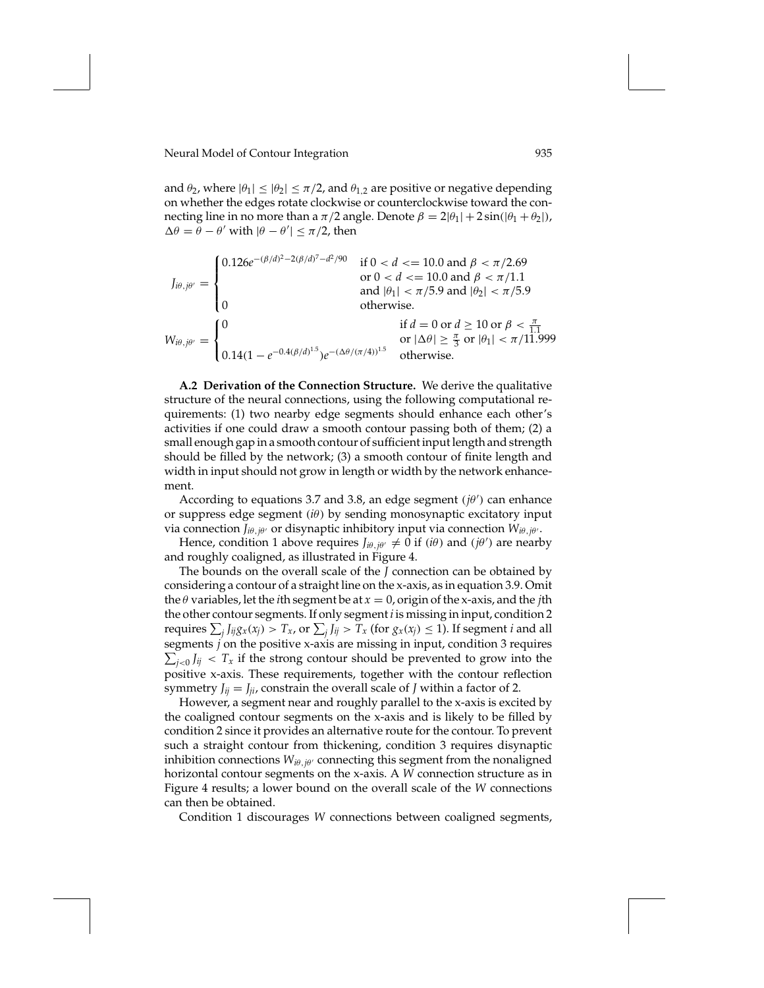and  $\theta_2$ , where  $|\theta_1| \leq |\theta_2| \leq \pi/2$ , and  $\theta_{1,2}$  are positive or negative depending on whether the edges rotate clockwise or counterclockwise toward the connecting line in no more than a  $\pi/2$  angle. Denote  $\beta = 2|\theta_1| + 2\sin(|\theta_1 + \theta_2|)$ ,  $\Delta \theta = \bar{\theta} - \theta'$  with  $|\theta - \theta'| \le \pi/2$ , then

$$
J_{i\theta,j\theta'} = \begin{cases} 0.126e^{-(\beta/d)^2 - 2(\beta/d)^7 - d^2/90} & \text{if } 0 < d <= 10.0 \text{ and } \beta < \pi/2.69 \\ & \text{or } 0 < d <= 10.0 \text{ and } \beta < \pi/1.1 \\ 0 & \text{and } |\theta_1| < \pi/5.9 \text{ and } |\theta_2| < \pi/5.9 \\ 0 & \text{otherwise.} \end{cases}
$$

$$
W_{i\theta,j\theta'} = \begin{cases} 0 & \text{if } d = 0 \text{ or } d \ge 10 \text{ or } \beta < \frac{\pi}{1.1} \\ 0.14(1 - e^{-0.4(\beta/d)^{1.5}})e^{-(\Delta\theta/(\pi/4))^{1.5}} & \text{otherwise.} \end{cases}
$$

**A.2 Derivation of the Connection Structure.** We derive the qualitative structure of the neural connections, using the following computational requirements: (1) two nearby edge segments should enhance each other's activities if one could draw a smooth contour passing both of them; (2) a small enough gap in a smooth contour of sufficient input length and strength should be filled by the network; (3) a smooth contour of finite length and width in input should not grow in length or width by the network enhancement.

According to equations 3.7 and 3.8, an edge segment  $(j\theta')$  can enhance or suppress edge segment (*i*θ) by sending monosynaptic excitatory input via connection  $J_{i\theta, j\theta}$  or disynaptic inhibitory input via connection  $W_{i\theta, j\theta}$ .

Hence, condition 1 above requires  $J_{i\theta, j\theta'} \neq 0$  if  $(i\theta)$  and  $(j\theta')$  are nearby and roughly coaligned, as illustrated in Figure 4.

The bounds on the overall scale of the *J* connection can be obtained by considering a contour of a straight line on the x-axis, as in equation 3.9. Omit the  $\theta$  variables, let the *i*th segment be at  $x = 0$ , origin of the x-axis, and the *j*th the other contour segments. If only segment *i* is missing in input, condition 2 requires  $\sum_j J_{ij}g_x(x_j) > T_x$ , or  $\sum_j J_{ij} > T_x$  (for  $g_x(x_j) \le 1$ ). If segment *i* and all segments *j* on the positive x-axis are missing in input, condition 3 requires  $\sum_{j < 0} J_{ij} < T_x$  if the strong contour should be prevented to grow into the positive x-axis. These requirements, together with the contour reflection symmetry  $J_{ij} = J_{ji}$ , constrain the overall scale of *J* within a factor of 2.

However, a segment near and roughly parallel to the x-axis is excited by the coaligned contour segments on the x-axis and is likely to be filled by condition 2 since it provides an alternative route for the contour. To prevent such a straight contour from thickening, condition 3 requires disynaptic inhibition connections  $W_{i\theta, j\theta}$  connecting this segment from the nonaligned horizontal contour segments on the x-axis. A *W* connection structure as in Figure 4 results; a lower bound on the overall scale of the *W* connections can then be obtained.

Condition 1 discourages *W* connections between coaligned segments,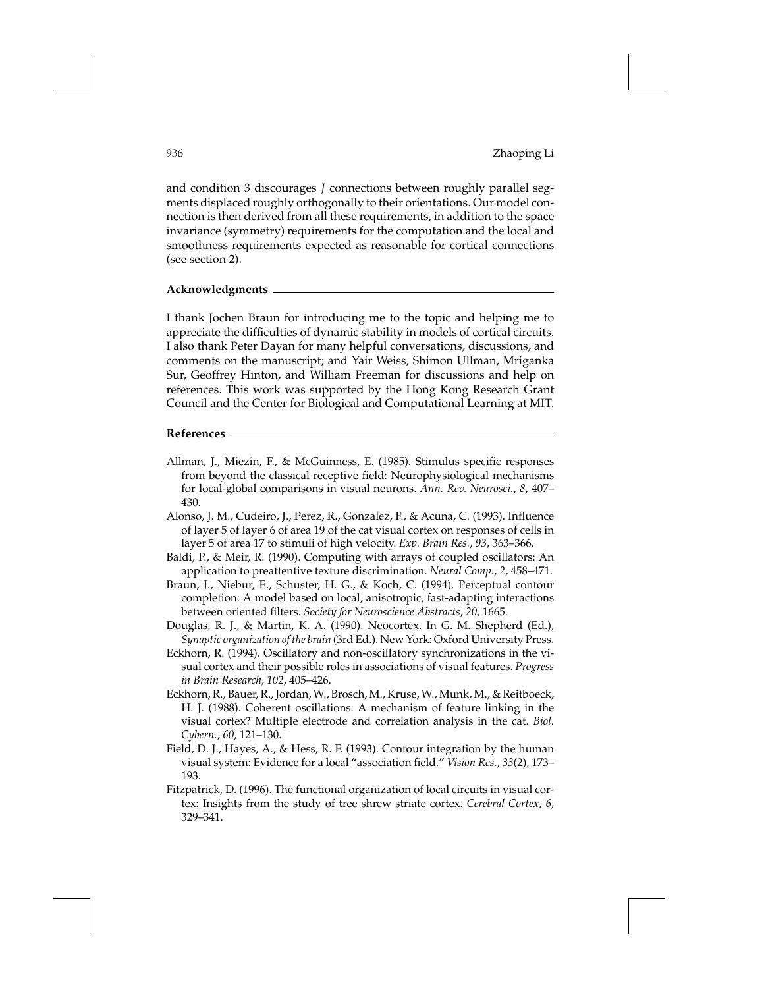and condition 3 discourages *J* connections between roughly parallel segments displaced roughly orthogonally to their orientations. Our model connection is then derived from all these requirements, in addition to the space invariance (symmetry) requirements for the computation and the local and smoothness requirements expected as reasonable for cortical connections (see section 2).

# **Acknowledgments**

I thank Jochen Braun for introducing me to the topic and helping me to appreciate the difficulties of dynamic stability in models of cortical circuits. I also thank Peter Dayan for many helpful conversations, discussions, and comments on the manuscript; and Yair Weiss, Shimon Ullman, Mriganka Sur, Geoffrey Hinton, and William Freeman for discussions and help on references. This work was supported by the Hong Kong Research Grant Council and the Center for Biological and Computational Learning at MIT.

#### **References**

- Allman, J., Miezin, F., & McGuinness, E. (1985). Stimulus specific responses from beyond the classical receptive field: Neurophysiological mechanisms for local-global comparisons in visual neurons. *Ann. Rev. Neurosci.*, *8*, 407– 430.
- Alonso, J. M., Cudeiro, J., Perez, R., Gonzalez, F., & Acuna, C. (1993). Influence of layer 5 of layer 6 of area 19 of the cat visual cortex on responses of cells in layer 5 of area 17 to stimuli of high velocity. *Exp. Brain Res.*, *93*, 363–366.
- Baldi, P., & Meir, R. (1990). Computing with arrays of coupled oscillators: An application to preattentive texture discrimination. *Neural Comp.*, *2*, 458–471.
- Braun, J., Niebur, E., Schuster, H. G., & Koch, C. (1994). Perceptual contour completion: A model based on local, anisotropic, fast-adapting interactions between oriented filters. *Society for Neuroscience Abstracts*, *20*, 1665.
- Douglas, R. J., & Martin, K. A. (1990). Neocortex. In G. M. Shepherd (Ed.), *Synaptic organization of the brain* (3rd Ed.). New York: Oxford University Press.
- Eckhorn, R. (1994). Oscillatory and non-oscillatory synchronizations in the visual cortex and their possible roles in associations of visual features. *Progress in Brain Research*, *102*, 405–426.
- Eckhorn, R., Bauer, R., Jordan, W., Brosch, M., Kruse, W., Munk, M., & Reitboeck, H. J. (1988). Coherent oscillations: A mechanism of feature linking in the visual cortex? Multiple electrode and correlation analysis in the cat. *Biol. Cybern.*, *60*, 121–130.
- Field, D. J., Hayes, A., & Hess, R. F. (1993). Contour integration by the human visual system: Evidence for a local "association field." *Vision Res.*, *33*(2), 173– 193.
- Fitzpatrick, D. (1996). The functional organization of local circuits in visual cortex: Insights from the study of tree shrew striate cortex. *Cerebral Cortex*, *6*, 329–341.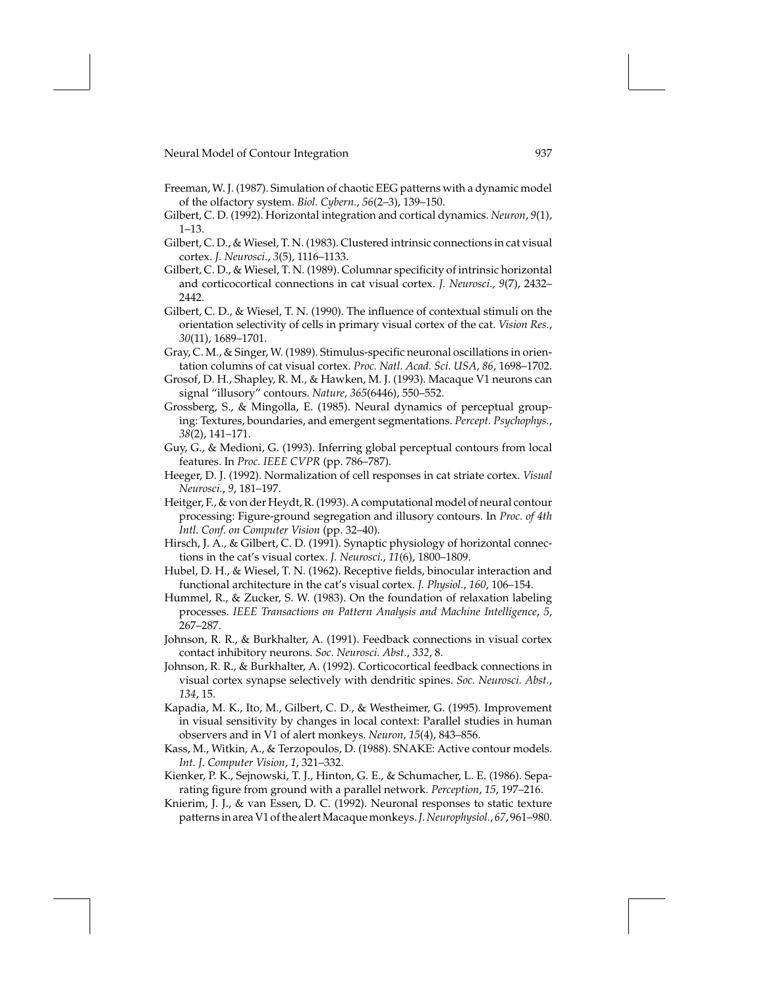- Freeman, W. J. (1987). Simulation of chaotic EEG patterns with a dynamic model of the olfactory system. *Biol. Cybern.*, *56*(2–3), 139–150.
- Gilbert, C. D. (1992). Horizontal integration and cortical dynamics. *Neuron*, *9*(1), 1–13.
- Gilbert, C. D., & Wiesel, T. N. (1983). Clustered intrinsic connections in cat visual cortex. *J. Neurosci.*, *3*(5), 1116–1133.
- Gilbert, C. D., & Wiesel, T. N. (1989). Columnar specificity of intrinsic horizontal and corticocortical connections in cat visual cortex. *J. Neurosci.*, *9*(7), 2432– 2442.
- Gilbert, C. D., & Wiesel, T. N. (1990). The influence of contextual stimuli on the orientation selectivity of cells in primary visual cortex of the cat. *Vision Res.*, *30*(11), 1689–1701.
- Gray, C. M., & Singer, W. (1989). Stimulus-specific neuronal oscillations in orientation columns of cat visual cortex. *Proc. Natl. Acad. Sci. USA*, *86*, 1698–1702.
- Grosof, D. H., Shapley, R. M., & Hawken, M. J. (1993). Macaque V1 neurons can signal "illusory" contours. *Nature, 365*(6446), 550–552.
- Grossberg, S., & Mingolla, E. (1985). Neural dynamics of perceptual grouping: Textures, boundaries, and emergent segmentations. *Percept. Psychophys.*, *38*(2), 141–171.
- Guy, G., & Medioni, G. (1993). Inferring global perceptual contours from local features. In *Proc. IEEE CVPR* (pp. 786–787).
- Heeger, D. J. (1992). Normalization of cell responses in cat striate cortex. *Visual Neurosci.*, *9*, 181–197.
- Heitger, F., & von der Heydt, R. (1993). A computational model of neural contour processing: Figure-ground segregation and illusory contours. In *Proc. of 4th Intl. Conf. on Computer Vision* (pp. 32–40).
- Hirsch, J. A., & Gilbert, C. D. (1991). Synaptic physiology of horizontal connections in the cat's visual cortex. *J. Neurosci.*, *11*(6), 1800–1809.
- Hubel, D. H., & Wiesel, T. N. (1962). Receptive fields, binocular interaction and functional architecture in the cat's visual cortex. *J. Physiol.*, *160*, 106–154.
- Hummel, R., & Zucker, S. W. (1983). On the foundation of relaxation labeling processes. *IEEE Transactions on Pattern Analysis and Machine Intelligence*, *5*, 267–287.
- Johnson, R. R., & Burkhalter, A. (1991). Feedback connections in visual cortex contact inhibitory neurons. *Soc. Neurosci. Abst.*, *332*, 8.
- Johnson, R. R., & Burkhalter, A. (1992). Corticocortical feedback connections in visual cortex synapse selectively with dendritic spines. *Soc. Neurosci. Abst.*, *134*, 15.
- Kapadia, M. K., Ito, M., Gilbert, C. D., & Westheimer, G. (1995). Improvement in visual sensitivity by changes in local context: Parallel studies in human observers and in V1 of alert monkeys. *Neuron*, *15*(4), 843–856.
- Kass, M., Witkin, A., & Terzopoulos, D. (1988). SNAKE: Active contour models. *Int. J. Computer Vision*, *1*, 321–332.
- Kienker, P. K., Sejnowski, T. J., Hinton, G. E., & Schumacher, L. E. (1986). Separating figure from ground with a parallel network. *Perception*, *15*, 197–216.
- Knierim, J. J., & van Essen, D. C. (1992). Neuronal responses to static texture patterns in area V1 of the alert Macaque monkeys.*J. Neurophysiol.*, *67*, 961–980.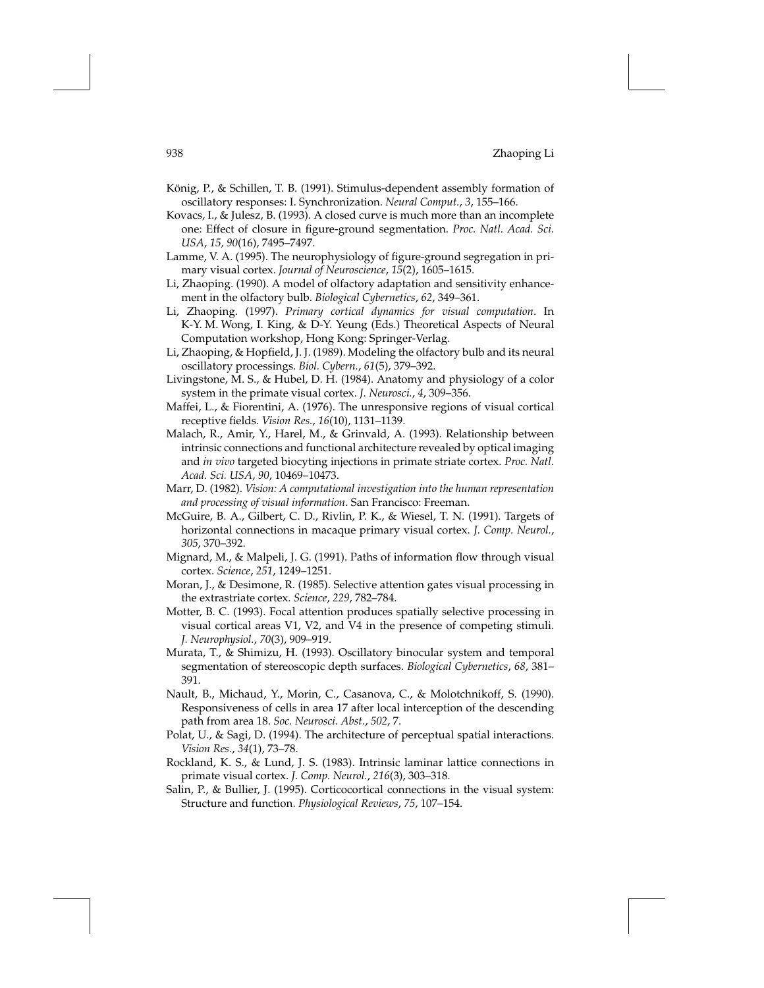# 938 Zhaoping Li

- König, P., & Schillen, T. B. (1991). Stimulus-dependent assembly formation of oscillatory responses: I. Synchronization. *Neural Comput.*, *3*, 155–166.
- Kovacs, I., & Julesz, B. (1993). A closed curve is much more than an incomplete one: Effect of closure in figure-ground segmentation. *Proc. Natl. Acad. Sci. USA*, *15, 90*(16), 7495–7497.
- Lamme, V. A. (1995). The neurophysiology of figure-ground segregation in primary visual cortex. *Journal of Neuroscience*, *15*(2), 1605–1615.
- Li, Zhaoping. (1990). A model of olfactory adaptation and sensitivity enhancement in the olfactory bulb. *Biological Cybernetics*, *62*, 349–361.
- Li, Zhaoping. (1997). *Primary cortical dynamics for visual computation*. In K-Y. M. Wong, I. King, & D-Y. Yeung (Eds.) Theoretical Aspects of Neural Computation workshop, Hong Kong: Springer-Verlag.
- Li, Zhaoping, & Hopfield, J. J. (1989). Modeling the olfactory bulb and its neural oscillatory processings. *Biol. Cybern.*, *61*(5), 379–392.
- Livingstone, M. S., & Hubel, D. H. (1984). Anatomy and physiology of a color system in the primate visual cortex. *J. Neurosci.*, *4*, 309–356.
- Maffei, L., & Fiorentini, A. (1976). The unresponsive regions of visual cortical receptive fields. *Vision Res.*, *16*(10), 1131–1139.
- Malach, R., Amir, Y., Harel, M., & Grinvald, A. (1993). Relationship between intrinsic connections and functional architecture revealed by optical imaging and *in vivo* targeted biocyting injections in primate striate cortex. *Proc. Natl. Acad. Sci. USA*, *90*, 10469–10473.
- Marr, D. (1982). *Vision: A computational investigation into the human representation and processing of visual information*. San Francisco: Freeman.
- McGuire, B. A., Gilbert, C. D., Rivlin, P. K., & Wiesel, T. N. (1991). Targets of horizontal connections in macaque primary visual cortex. *J. Comp. Neurol.*, *305*, 370–392.
- Mignard, M., & Malpeli, J. G. (1991). Paths of information flow through visual cortex. *Science*, *251*, 1249–1251.
- Moran, J., & Desimone, R. (1985). Selective attention gates visual processing in the extrastriate cortex. *Science*, *229*, 782–784.
- Motter, B. C. (1993). Focal attention produces spatially selective processing in visual cortical areas V1, V2, and V4 in the presence of competing stimuli. *J. Neurophysiol.*, *70*(3), 909–919.
- Murata, T., & Shimizu, H. (1993). Oscillatory binocular system and temporal segmentation of stereoscopic depth surfaces. *Biological Cybernetics*, *68*, 381– 391.
- Nault, B., Michaud, Y., Morin, C., Casanova, C., & Molotchnikoff, S. (1990). Responsiveness of cells in area 17 after local interception of the descending path from area 18. *Soc. Neurosci. Abst.*, *502*, 7.
- Polat, U., & Sagi, D. (1994). The architecture of perceptual spatial interactions. *Vision Res.*, *34*(1), 73–78.
- Rockland, K. S., & Lund, J. S. (1983). Intrinsic laminar lattice connections in primate visual cortex. *J. Comp. Neurol.*, *216*(3), 303–318.
- Salin, P., & Bullier, J. (1995). Corticocortical connections in the visual system: Structure and function. *Physiological Reviews*, *75*, 107–154.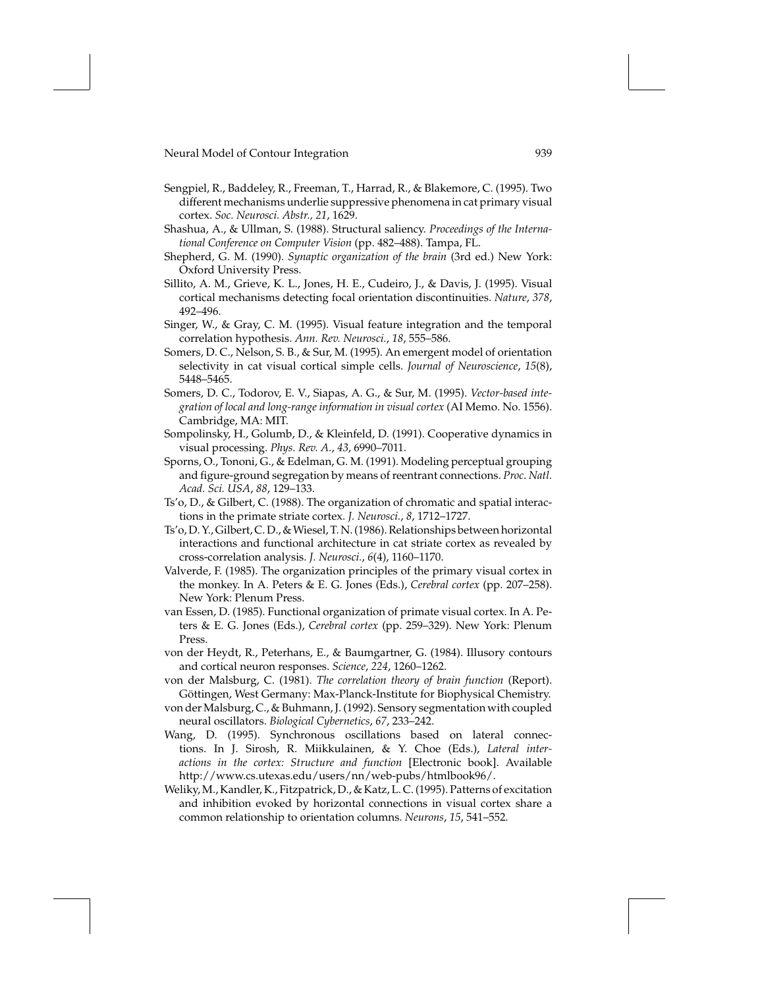- Sengpiel, R., Baddeley, R., Freeman, T., Harrad, R., & Blakemore, C. (1995). Two different mechanisms underlie suppressive phenomena in cat primary visual cortex. *Soc. Neurosci. Abstr., 21*, 1629.
- Shashua, A., & Ullman, S. (1988). Structural saliency. *Proceedings of the International Conference on Computer Vision* (pp. 482–488). Tampa, FL.
- Shepherd, G. M. (1990). *Synaptic organization of the brain* (3rd ed.) New York: Oxford University Press.
- Sillito, A. M., Grieve, K. L., Jones, H. E., Cudeiro, J., & Davis, J. (1995). Visual cortical mechanisms detecting focal orientation discontinuities. *Nature*, *378*, 492–496.
- Singer, W., & Gray, C. M. (1995). Visual feature integration and the temporal correlation hypothesis. *Ann. Rev. Neurosci.*, *18*, 555–586.
- Somers, D. C., Nelson, S. B., & Sur, M. (1995). An emergent model of orientation selectivity in cat visual cortical simple cells. *Journal of Neuroscience*, *15*(8), 5448–5465.
- Somers, D. C., Todorov, E. V., Siapas, A. G., & Sur, M. (1995). *Vector-based integration of local and long-range information in visual cortex* (AI Memo. No. 1556). Cambridge, MA: MIT.
- Sompolinsky, H., Golumb, D., & Kleinfeld, D. (1991). Cooperative dynamics in visual processing. *Phys. Rev. A.*, *43*, 6990–7011.
- Sporns, O., Tononi, G., & Edelman, G. M. (1991). Modeling perceptual grouping and figure-ground segregation by means of reentrant connections. *Proc. Natl. Acad. Sci. USA*, *88*, 129–133.
- Ts'o, D., & Gilbert, C. (1988). The organization of chromatic and spatial interactions in the primate striate cortex. *J. Neurosci.*, *8*, 1712–1727.
- Ts'o, D. Y., Gilbert, C. D., & Wiesel, T. N. (1986). Relationships between horizontal interactions and functional architecture in cat striate cortex as revealed by cross-correlation analysis. *J. Neurosci.*, *6*(4), 1160–1170.
- Valverde, F. (1985). The organization principles of the primary visual cortex in the monkey. In A. Peters & E. G. Jones (Eds.), *Cerebral cortex* (pp. 207–258). New York: Plenum Press.
- van Essen, D. (1985). Functional organization of primate visual cortex. In A. Peters & E. G. Jones (Eds.), *Cerebral cortex* (pp. 259–329). New York: Plenum Press.
- von der Heydt, R., Peterhans, E., & Baumgartner, G. (1984). Illusory contours and cortical neuron responses. *Science*, *224*, 1260–1262.
- von der Malsburg, C. (1981). *The correlation theory of brain function* (Report). Göttingen, West Germany: Max-Planck-Institute for Biophysical Chemistry.
- von der Malsburg, C., & Buhmann, J. (1992). Sensory segmentation with coupled neural oscillators. *Biological Cybernetics*, *67*, 233–242.
- Wang, D. (1995). Synchronous oscillations based on lateral connections. In J. Sirosh, R. Miikkulainen, & Y. Choe (Eds.), *Lateral interactions in the cortex: Structure and function* [Electronic book]. Available http://www.cs.utexas.edu/users/nn/web-pubs/htmlbook96/.
- Weliky, M., Kandler, K., Fitzpatrick, D., & Katz, L. C. (1995). Patterns of excitation and inhibition evoked by horizontal connections in visual cortex share a common relationship to orientation columns. *Neurons*, *15*, 541–552.